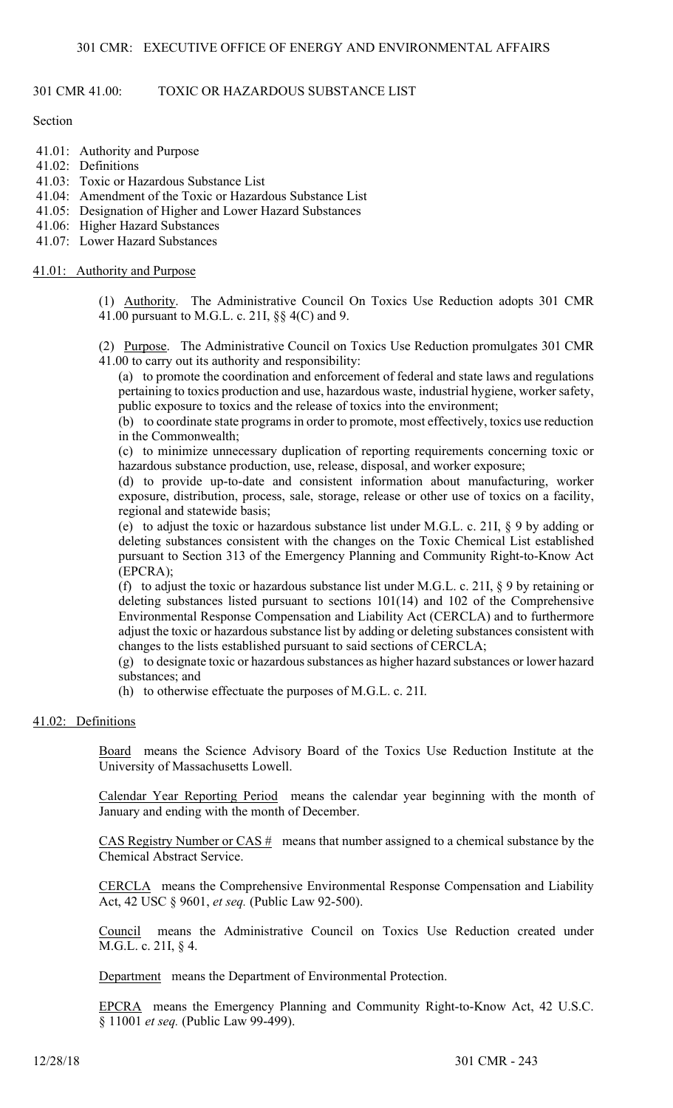## 301 CMR 41.00: TOXIC OR HAZARDOUS SUBSTANCE LIST

Section

- 41.01: Authority and Purpose
- 41.02: Definitions
- 41.03: Toxic or Hazardous Substance List
- 41.04: Amendment of the Toxic or Hazardous Substance List
- 41.05: Designation of Higher and Lower Hazard Substances
- 41.06: Higher Hazard Substances
- 41.07: Lower Hazard Substances

## 41.01: Authority and Purpose

(1) Authority. The Administrative Council On Toxics Use Reduction adopts 301 CMR 41.00 pursuant to M.G.L. c. 21I, §§ 4(C) and 9.

(2) Purpose. The Administrative Council on Toxics Use Reduction promulgates 301 CMR 41.00 to carry out its authority and responsibility:

(a) to promote the coordination and enforcement of federal and state laws and regulations pertaining to toxics production and use, hazardous waste, industrial hygiene, worker safety, public exposure to toxics and the release of toxics into the environment;

(b) to coordinate state programs in order to promote, most effectively, toxics use reduction in the Commonwealth;

(c) to minimize unnecessary duplication of reporting requirements concerning toxic or hazardous substance production, use, release, disposal, and worker exposure;

(d) to provide up-to-date and consistent information about manufacturing, worker exposure, distribution, process, sale, storage, release or other use of toxics on a facility, regional and statewide basis;

(e) to adjust the toxic or hazardous substance list under M.G.L. c. 21I, § 9 by adding or deleting substances consistent with the changes on the Toxic Chemical List established pursuant to Section 313 of the Emergency Planning and Community Right-to-Know Act (EPCRA);

(f) to adjust the toxic or hazardous substance list under M.G.L. c. 21I, § 9 by retaining or deleting substances listed pursuant to sections 101(14) and 102 of the Comprehensive Environmental Response Compensation and Liability Act (CERCLA) and to furthermore adjust the toxic or hazardous substance list by adding or deleting substances consistent with changes to the lists established pursuant to said sections of CERCLA;

(g) to designate toxic or hazardous substances as higher hazard substances or lower hazard substances; and

(h) to otherwise effectuate the purposes of M.G.L. c. 21I.

## 41.02: Definitions

Board means the Science Advisory Board of the Toxics Use Reduction Institute at the University of Massachusetts Lowell.

Calendar Year Reporting Period means the calendar year beginning with the month of January and ending with the month of December.

CAS Registry Number or CAS  $#$  means that number assigned to a chemical substance by the Chemical Abstract Service.

CERCLA means the Comprehensive Environmental Response Compensation and Liability Act, 42 USC § 9601, et seq. (Public Law 92-500).

Council means the Administrative Council on Toxics Use Reduction created under M.G.L. c. 21I, § 4.

Department means the Department of Environmental Protection.

EPCRA means the Emergency Planning and Community Right-to-Know Act, 42 U.S.C. § 11001 et seq. (Public Law 99-499).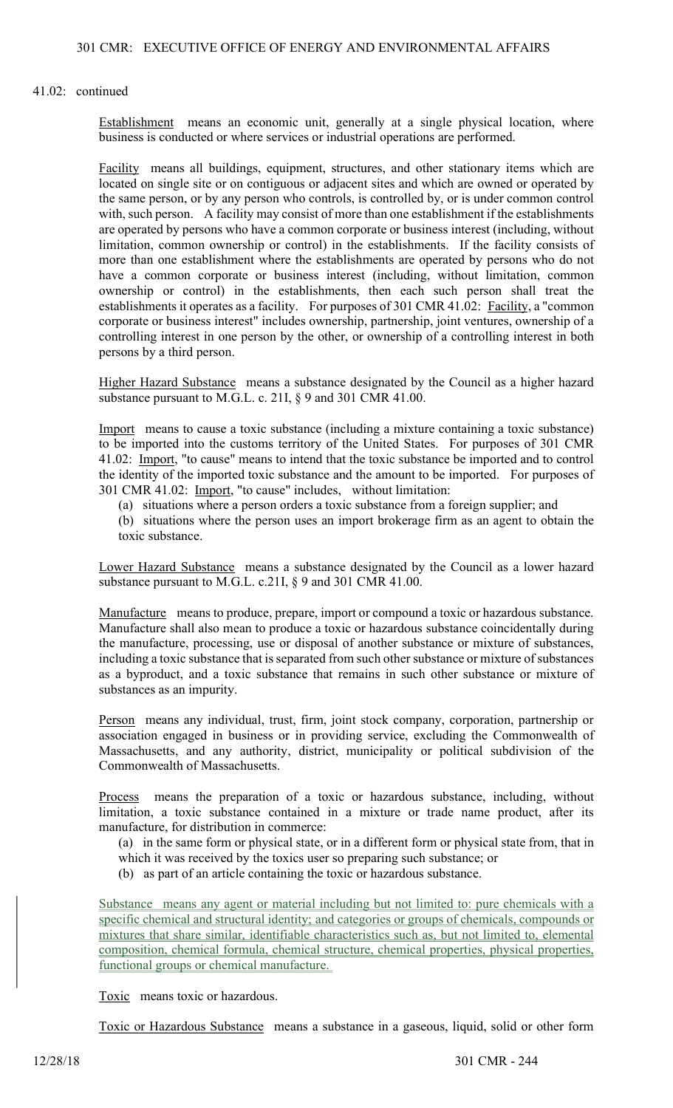Establishment means an economic unit, generally at a single physical location, where business is conducted or where services or industrial operations are performed.

Facility means all buildings, equipment, structures, and other stationary items which are located on single site or on contiguous or adjacent sites and which are owned or operated by the same person, or by any person who controls, is controlled by, or is under common control with, such person. A facility may consist of more than one establishment if the establishments are operated by persons who have a common corporate or business interest (including, without limitation, common ownership or control) in the establishments. If the facility consists of more than one establishment where the establishments are operated by persons who do not have a common corporate or business interest (including, without limitation, common ownership or control) in the establishments, then each such person shall treat the establishments it operates as a facility. For purposes of 301 CMR 41.02: Facility, a "common corporate or business interest" includes ownership, partnership, joint ventures, ownership of a controlling interest in one person by the other, or ownership of a controlling interest in both persons by a third person.

Higher Hazard Substance means a substance designated by the Council as a higher hazard substance pursuant to M.G.L. c. 21I, § 9 and 301 CMR 41.00.

Import means to cause a toxic substance (including a mixture containing a toxic substance) to be imported into the customs territory of the United States. For purposes of 301 CMR 41.02: Import, "to cause" means to intend that the toxic substance be imported and to control the identity of the imported toxic substance and the amount to be imported. For purposes of 301 CMR 41.02: Import, "to cause" includes, without limitation:

(a) situations where a person orders a toxic substance from a foreign supplier; and

(b) situations where the person uses an import brokerage firm as an agent to obtain the toxic substance.

Lower Hazard Substance means a substance designated by the Council as a lower hazard substance pursuant to M.G.L. c.21I, § 9 and 301 CMR 41.00.

Manufacture means to produce, prepare, import or compound a toxic or hazardous substance. Manufacture shall also mean to produce a toxic or hazardous substance coincidentally during the manufacture, processing, use or disposal of another substance or mixture of substances, including a toxic substance that is separated from such other substance or mixture of substances as a byproduct, and a toxic substance that remains in such other substance or mixture of substances as an impurity.

Person means any individual, trust, firm, joint stock company, corporation, partnership or association engaged in business or in providing service, excluding the Commonwealth of Massachusetts, and any authority, district, municipality or political subdivision of the Commonwealth of Massachusetts.

Process means the preparation of a toxic or hazardous substance, including, without limitation, a toxic substance contained in a mixture or trade name product, after its manufacture, for distribution in commerce:

(a) in the same form or physical state, or in a different form or physical state from, that in which it was received by the toxics user so preparing such substance; or

(b) as part of an article containing the toxic or hazardous substance.

Substance means any agent or material including but not limited to: pure chemicals with a specific chemical and structural identity; and categories or groups of chemicals, compounds or mixtures that share similar, identifiable characteristics such as, but not limited to, elemental composition, chemical formula, chemical structure, chemical properties, physical properties, functional groups or chemical manufacture.

Toxic means toxic or hazardous.

Toxic or Hazardous Substance means a substance in a gaseous, liquid, solid or other form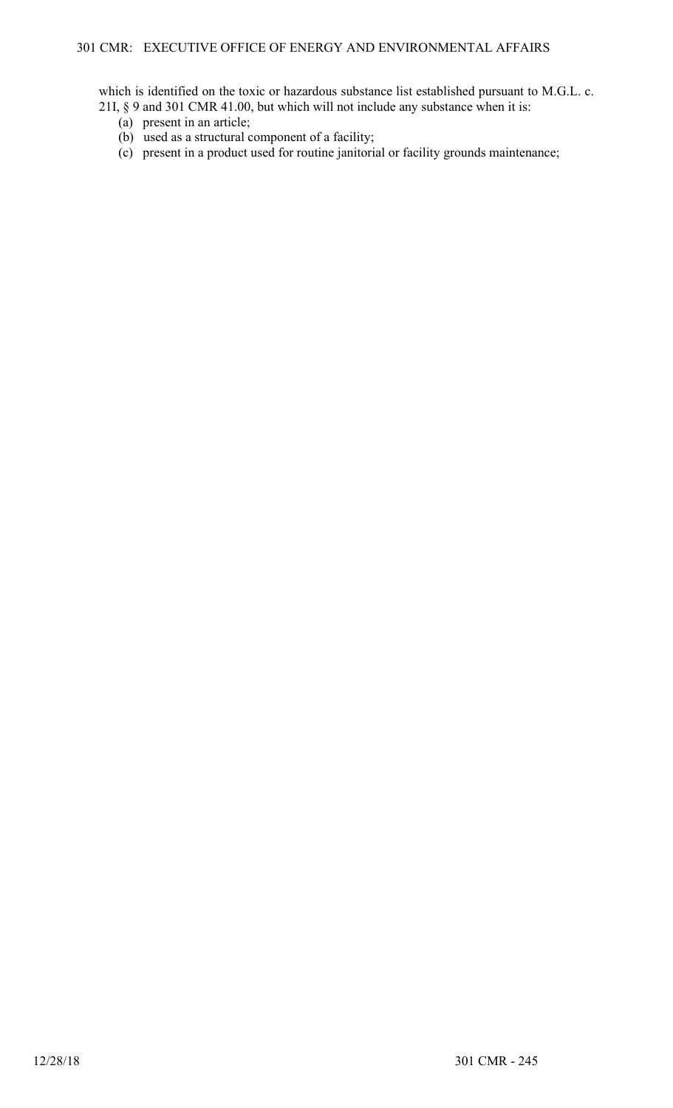which is identified on the toxic or hazardous substance list established pursuant to M.G.L. c. 21I, § 9 and 301 CMR 41.00, but which will not include any substance when it is:

- (a) present in an article;
- (b) used as a structural component of a facility;
- (c) present in a product used for routine janitorial or facility grounds maintenance;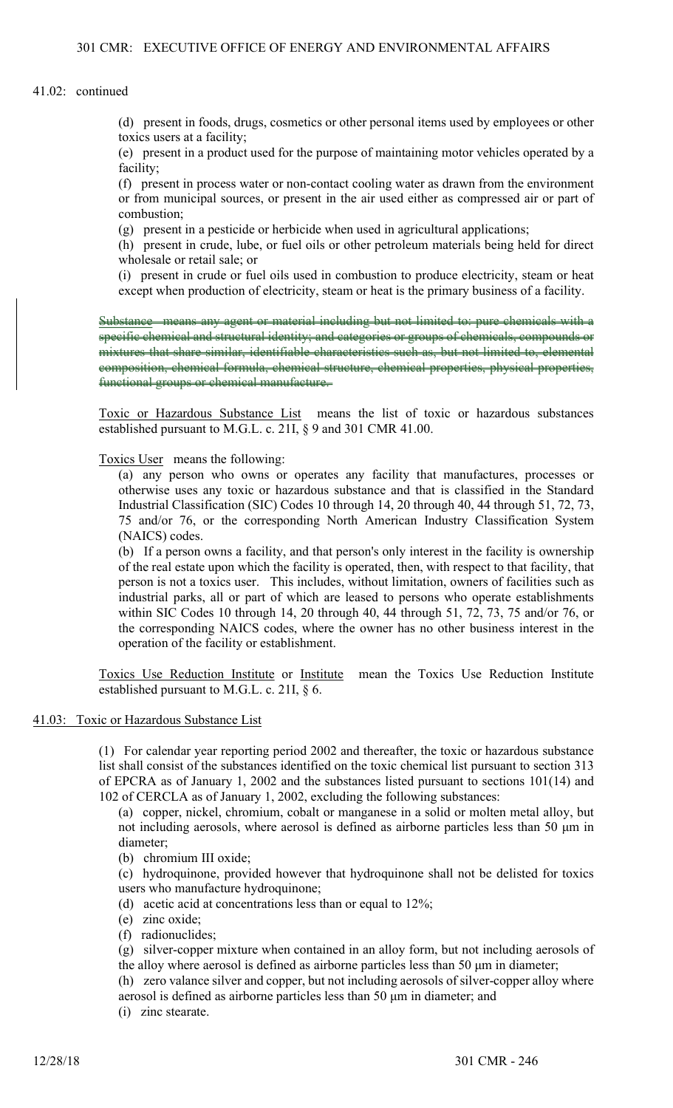(d) present in foods, drugs, cosmetics or other personal items used by employees or other toxics users at a facility;

(e) present in a product used for the purpose of maintaining motor vehicles operated by a facility;

(f) present in process water or non-contact cooling water as drawn from the environment or from municipal sources, or present in the air used either as compressed air or part of combustion;

(g) present in a pesticide or herbicide when used in agricultural applications;

(h) present in crude, lube, or fuel oils or other petroleum materials being held for direct wholesale or retail sale; or

(i) present in crude or fuel oils used in combustion to produce electricity, steam or heat except when production of electricity, steam or heat is the primary business of a facility.

Substance means any agent or material including but not limited to: pure chemicals with a specific chemical and structural identity; and categories or groups of chemicals, compounds or mixtures that share similar, identifiable characteristics such as, but not limited to, elemental composition, chemical formula, chemical structure, chemical properties, physical properties, functional groups or chemical manufacture.

Toxic or Hazardous Substance List means the list of toxic or hazardous substances established pursuant to M.G.L. c. 21I, § 9 and 301 CMR 41.00.

Toxics User means the following:

(a) any person who owns or operates any facility that manufactures, processes or otherwise uses any toxic or hazardous substance and that is classified in the Standard Industrial Classification (SIC) Codes 10 through 14, 20 through 40, 44 through 51, 72, 73, 75 and/or 76, or the corresponding North American Industry Classification System (NAICS) codes.

(b) If a person owns a facility, and that person's only interest in the facility is ownership of the real estate upon which the facility is operated, then, with respect to that facility, that person is not a toxics user. This includes, without limitation, owners of facilities such as industrial parks, all or part of which are leased to persons who operate establishments within SIC Codes 10 through 14, 20 through 40, 44 through 51, 72, 73, 75 and/or 76, or the corresponding NAICS codes, where the owner has no other business interest in the operation of the facility or establishment.

Toxics Use Reduction Institute or Institute mean the Toxics Use Reduction Institute established pursuant to M.G.L. c. 21I, § 6.

## 41.03: Toxic or Hazardous Substance List

(1) For calendar year reporting period 2002 and thereafter, the toxic or hazardous substance list shall consist of the substances identified on the toxic chemical list pursuant to section 313 of EPCRA as of January 1, 2002 and the substances listed pursuant to sections 101(14) and 102 of CERCLA as of January 1, 2002, excluding the following substances:

(a) copper, nickel, chromium, cobalt or manganese in a solid or molten metal alloy, but not including aerosols, where aerosol is defined as airborne particles less than 50 μm in diameter;

(b) chromium III oxide;

(c) hydroquinone, provided however that hydroquinone shall not be delisted for toxics users who manufacture hydroquinone;

- (d) acetic acid at concentrations less than or equal to 12%;
- (e) zinc oxide;
- (f) radionuclides;

(g) silver-copper mixture when contained in an alloy form, but not including aerosols of the alloy where aerosol is defined as airborne particles less than 50 μm in diameter;

(h) zero valance silver and copper, but not including aerosols of silver-copper alloy where aerosol is defined as airborne particles less than 50 μm in diameter; and

(i) zinc stearate.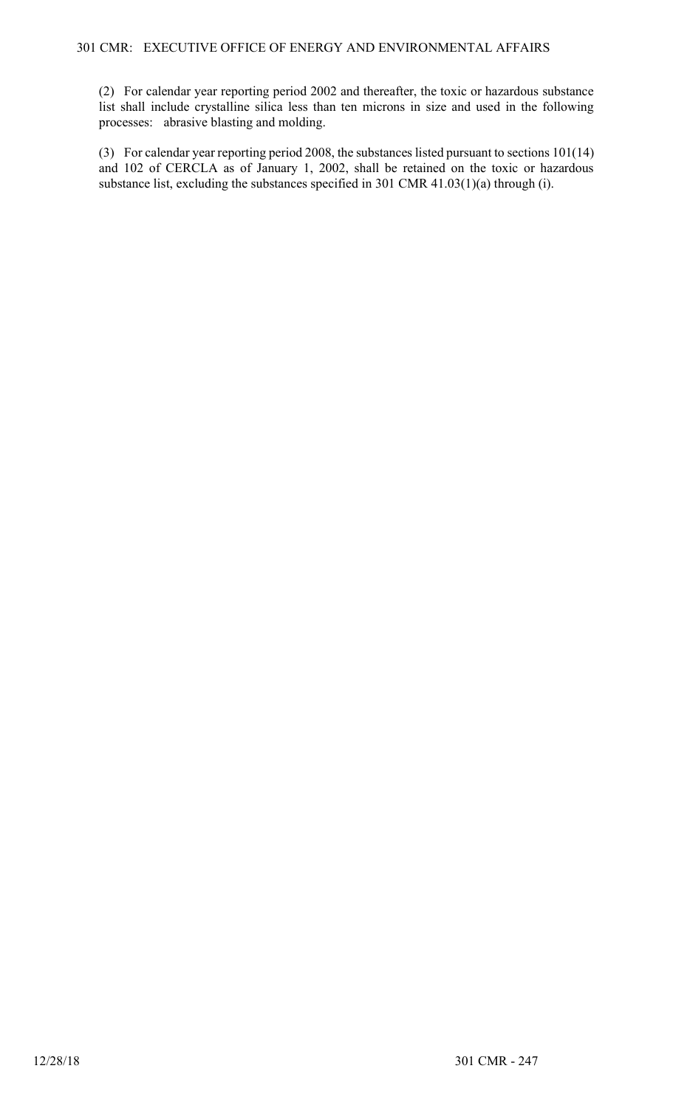(2) For calendar year reporting period 2002 and thereafter, the toxic or hazardous substance list shall include crystalline silica less than ten microns in size and used in the following processes: abrasive blasting and molding.

(3) For calendar year reporting period 2008, the substances listed pursuant to sections 101(14) and 102 of CERCLA as of January 1, 2002, shall be retained on the toxic or hazardous substance list, excluding the substances specified in 301 CMR 41.03(1)(a) through (i).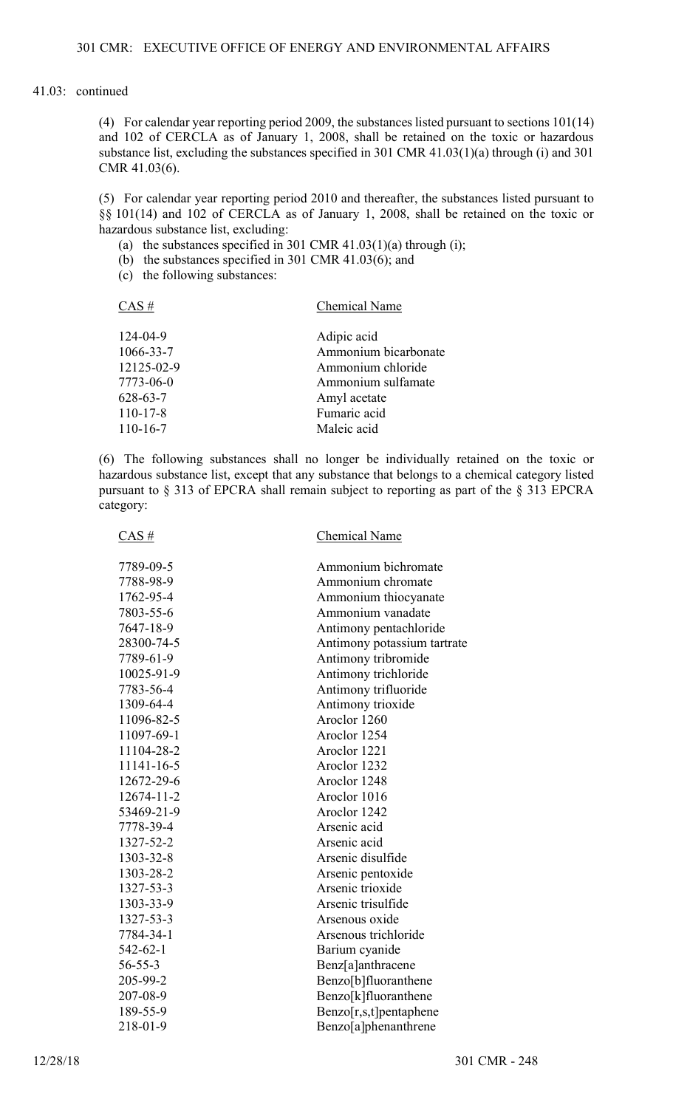(4) For calendar year reporting period 2009, the substances listed pursuant to sections 101(14) and 102 of CERCLA as of January 1, 2008, shall be retained on the toxic or hazardous substance list, excluding the substances specified in 301 CMR 41.03(1)(a) through (i) and 301 CMR 41.03(6).

(5) For calendar year reporting period 2010 and thereafter, the substances listed pursuant to §§ 101(14) and 102 of CERCLA as of January 1, 2008, shall be retained on the toxic or hazardous substance list, excluding:

- (a) the substances specified in 301 CMR  $41.03(1)(a)$  through (i);
- (b) the substances specified in 301 CMR 41.03(6); and
- (c) the following substances:

CAS # Chemical Name

| 124-04-9       | Adipic acid          |
|----------------|----------------------|
| 1066-33-7      | Ammonium bicarbonate |
| 12125-02-9     | Ammonium chloride    |
| 7773-06-0      | Ammonium sulfamate   |
| 628-63-7       | Amyl acetate         |
| $110 - 17 - 8$ | Fumaric acid         |
| $110 - 16 - 7$ | Maleic acid          |

(6) The following substances shall no longer be individually retained on the toxic or hazardous substance list, except that any substance that belongs to a chemical category listed pursuant to § 313 of EPCRA shall remain subject to reporting as part of the § 313 EPCRA category:

| $CAS \#$         | Chemical Name               |
|------------------|-----------------------------|
| 7789-09-5        | Ammonium bichromate         |
| 7788-98-9        | Ammonium chromate           |
| 1762-95-4        | Ammonium thiocyanate        |
| 7803-55-6        | Ammonium vanadate           |
| 7647-18-9        | Antimony pentachloride      |
| 28300-74-5       | Antimony potassium tartrate |
| 7789-61-9        | Antimony tribromide         |
| 10025-91-9       | Antimony trichloride        |
| 7783-56-4        | Antimony trifluoride        |
| 1309-64-4        | Antimony trioxide           |
| 11096-82-5       | Aroclor 1260                |
| 11097-69-1       | Aroclor 1254                |
| 11104-28-2       | Aroclor 1221                |
| 11141-16-5       | Aroclor 1232                |
| 12672-29-6       | Aroclor 1248                |
| $12674 - 11 - 2$ | Aroclor 1016                |
| 53469-21-9       | Aroclor 1242                |
| 7778-39-4        | Arsenic acid                |
| 1327-52-2        | Arsenic acid                |
| 1303-32-8        | Arsenic disulfide           |
| 1303-28-2        | Arsenic pentoxide           |
| 1327-53-3        | Arsenic trioxide            |
| 1303-33-9        | Arsenic trisulfide          |
| 1327-53-3        | Arsenous oxide              |
| 7784-34-1        | Arsenous trichloride        |
| 542-62-1         | Barium cyanide              |
| $56 - 55 - 3$    | Benz[a]anthracene           |
| 205-99-2         | Benzo[b]fluoranthene        |
| 207-08-9         | Benzo[k]fluoranthene        |
| 189-55-9         | $Benzo[r,s,t]$ pentaphene   |
| 218-01-9         | Benzo[a]phenanthrene        |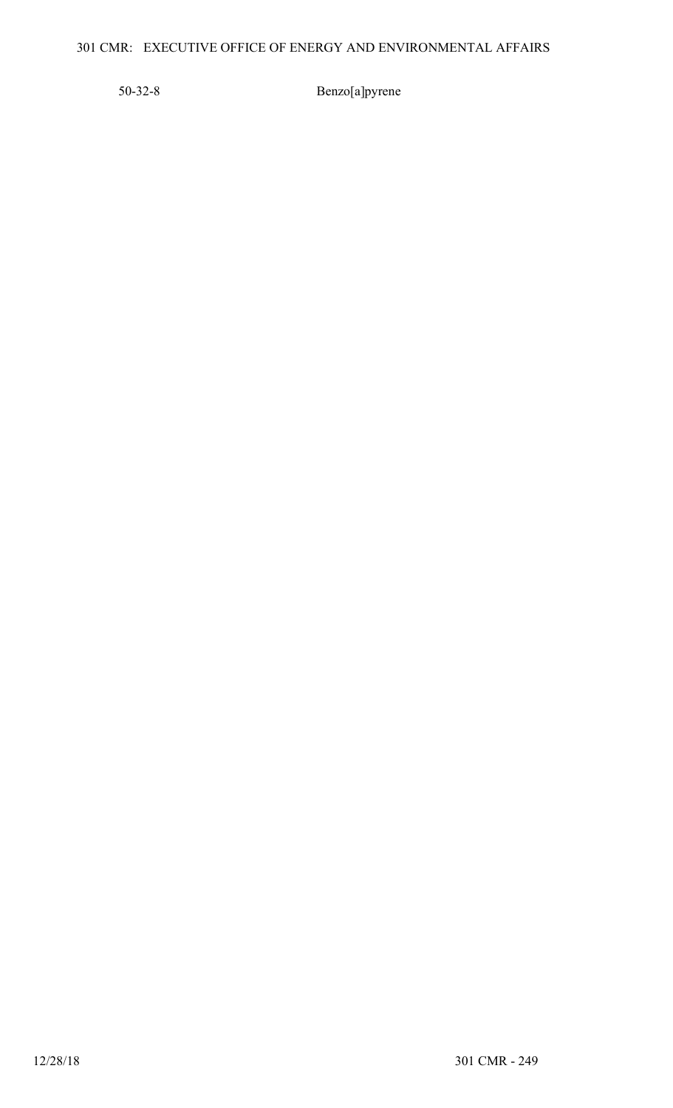# 301 CMR: EXECUTIVE OFFICE OF ENERGY AND ENVIRONMENTAL AFFAIRS

50-32-8 Benzo[a]pyrene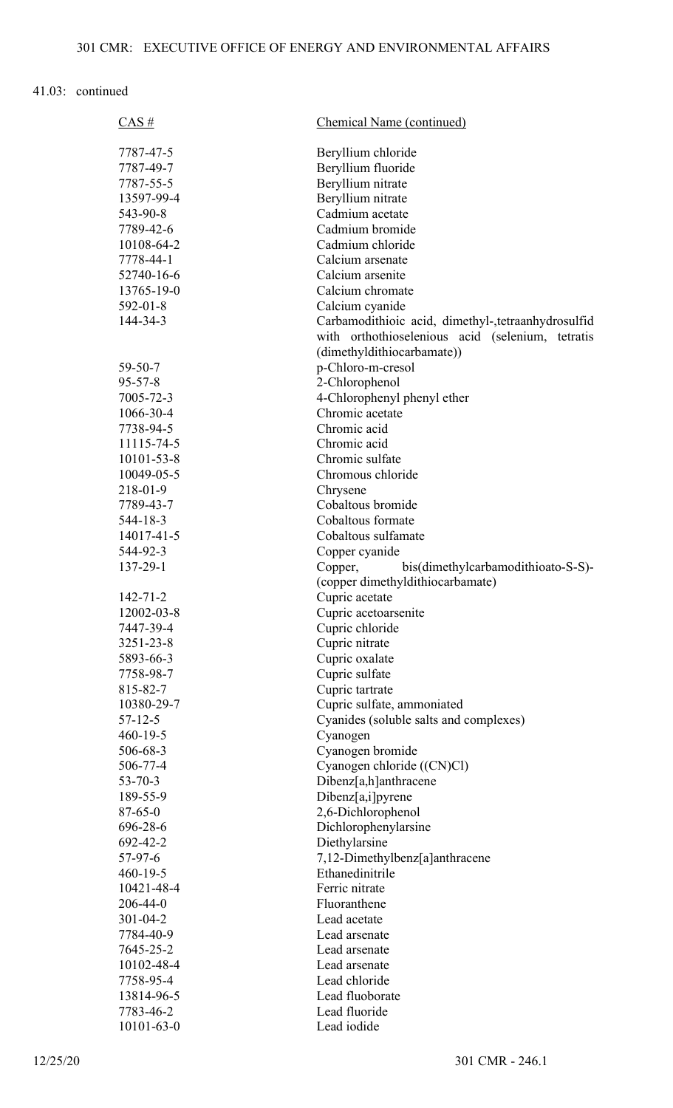| $CAS \#$       | <b>Chemical Name (continued)</b>                   |
|----------------|----------------------------------------------------|
| 7787-47-5      | Beryllium chloride                                 |
| 7787-49-7      | Beryllium fluoride                                 |
| 7787-55-5      | Beryllium nitrate                                  |
| 13597-99-4     | Beryllium nitrate                                  |
| 543-90-8       | Cadmium acetate                                    |
| 7789-42-6      | Cadmium bromide                                    |
| 10108-64-2     | Cadmium chloride                                   |
| 7778-44-1      | Calcium arsenate                                   |
| 52740-16-6     | Calcium arsenite                                   |
| 13765-19-0     | Calcium chromate                                   |
| $592 - 01 - 8$ | Calcium cyanide                                    |
| 144-34-3       | Carbamodithioic acid, dimethyl-,tetraanhydrosulfid |
|                | with orthothioselenious acid (selenium, tetratis   |
|                | (dimethyldithiocarbamate))                         |
| $59 - 50 - 7$  | p-Chloro-m-cresol                                  |
| $95 - 57 - 8$  | 2-Chlorophenol                                     |
| 7005-72-3      | 4-Chlorophenyl phenyl ether                        |
| 1066-30-4      | Chromic acetate                                    |
| 7738-94-5      | Chromic acid                                       |
| 11115-74-5     | Chromic acid                                       |
| 10101-53-8     | Chromic sulfate                                    |
| 10049-05-5     | Chromous chloride                                  |
| 218-01-9       | Chrysene                                           |
| 7789-43-7      | Cobaltous bromide                                  |
| $544 - 18 - 3$ | Cobaltous formate                                  |
| 14017-41-5     | Cobaltous sulfamate                                |
| 544-92-3       | Copper cyanide                                     |
| 137-29-1       | bis(dimethylcarbamodithioato-S-S)-<br>Copper,      |
|                | (copper dimethyldithiocarbamate)                   |
| $142 - 71 - 2$ | Cupric acetate                                     |
| 12002-03-8     | Cupric acetoarsenite                               |
| 7447-39-4      | Cupric chloride                                    |
| 3251-23-8      | Cupric nitrate                                     |
| 5893-66-3      | Cupric oxalate                                     |
| 7758-98-7      | Cupric sulfate                                     |
| 815-82-7       | Cupric tartrate                                    |
| 10380-29-7     | Cupric sulfate, ammoniated                         |
| $57 - 12 - 5$  | Cyanides (soluble salts and complexes)             |
| $460 - 19 - 5$ | Cyanogen                                           |
| 506-68-3       | Cyanogen bromide                                   |
| 506-77-4       | Cyanogen chloride ((CN)Cl)                         |
| $53 - 70 - 3$  | Dibenz[a,h]anthracene                              |
| 189-55-9       | Dibenz[a,i]pyrene                                  |
| $87 - 65 - 0$  | 2,6-Dichlorophenol                                 |
| 696-28-6       | Dichlorophenylarsine                               |
| 692-42-2       | Diethylarsine                                      |
| $57-97-6$      | 7,12-Dimethylbenz[a]anthracene                     |
| $460 - 19 - 5$ | Ethanedinitrile                                    |
| 10421-48-4     | Ferric nitrate                                     |
| $206 - 44 - 0$ | Fluoranthene                                       |
| $301 - 04 - 2$ | Lead acetate                                       |
| 7784-40-9      | Lead arsenate                                      |
| 7645-25-2      | Lead arsenate                                      |
| 10102-48-4     | Lead arsenate                                      |
| 7758-95-4      | Lead chloride                                      |
| 13814-96-5     | Lead fluoborate                                    |
| 7783-46-2      | Lead fluoride                                      |
| 10101-63-0     | Lead iodide                                        |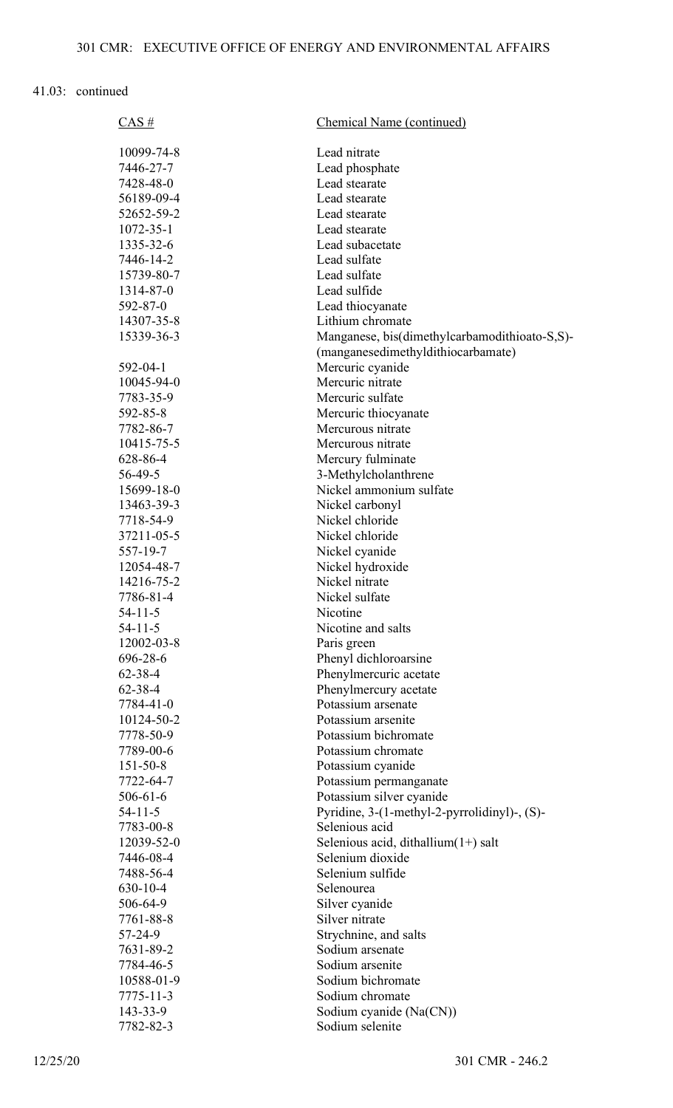| $CAS \#$        | Chemical Name (continued)                     |
|-----------------|-----------------------------------------------|
|                 |                                               |
| 10099-74-8      | Lead nitrate                                  |
| 7446-27-7       | Lead phosphate<br>Lead stearate               |
| 7428-48-0       |                                               |
| 56189-09-4      | Lead stearate                                 |
| 52652-59-2      | Lead stearate                                 |
| $1072 - 35 - 1$ | Lead stearate                                 |
| 1335-32-6       | Lead subacetate                               |
| 7446-14-2       | Lead sulfate                                  |
| 15739-80-7      | Lead sulfate                                  |
| 1314-87-0       | Lead sulfide                                  |
| 592-87-0        | Lead thiocyanate                              |
| 14307-35-8      | Lithium chromate                              |
| 15339-36-3      | Manganese, bis(dimethylcarbamodithioato-S,S)- |
|                 | (manganesedimethyldithiocarbamate)            |
| 592-04-1        | Mercuric cyanide                              |
| 10045-94-0      | Mercuric nitrate                              |
| 7783-35-9       | Mercuric sulfate                              |
| 592-85-8        | Mercuric thiocyanate                          |
| 7782-86-7       | Mercurous nitrate                             |
| 10415-75-5      | Mercurous nitrate                             |
| 628-86-4        | Mercury fulminate                             |
| 56-49-5         | 3-Methylcholanthrene                          |
| 15699-18-0      | Nickel ammonium sulfate                       |
| 13463-39-3      | Nickel carbonyl                               |
| 7718-54-9       | Nickel chloride                               |
| 37211-05-5      | Nickel chloride                               |
| 557-19-7        | Nickel cyanide                                |
| 12054-48-7      | Nickel hydroxide                              |
| 14216-75-2      | Nickel nitrate                                |
| 7786-81-4       | Nickel sulfate                                |
| $54 - 11 - 5$   | Nicotine                                      |
| $54 - 11 - 5$   | Nicotine and salts                            |
| 12002-03-8      | Paris green                                   |
| 696-28-6        | Phenyl dichloroarsine                         |
| $62 - 38 - 4$   | Phenylmercuric acetate                        |
| $62 - 38 - 4$   | Phenylmercury acetate                         |
| 7784-41-0       | Potassium arsenate                            |
| 10124-50-2      | Potassium arsenite                            |
| 7778-50-9       | Potassium bichromate                          |
| 7789-00-6       | Potassium chromate                            |
| $151 - 50 - 8$  | Potassium cyanide                             |
| 7722-64-7       | Potassium permanganate                        |
| $506 - 61 - 6$  | Potassium silver cyanide                      |
| $54 - 11 - 5$   | Pyridine, 3-(1-methyl-2-pyrrolidinyl)-, (S)-  |
| 7783-00-8       | Selenious acid                                |
| 12039-52-0      | Selenious acid, dithallium $(1+)$ salt        |
| 7446-08-4       | Selenium dioxide                              |
| 7488-56-4       | Selenium sulfide                              |
| $630 - 10 - 4$  | Selenourea                                    |
| 506-64-9        | Silver cyanide                                |
| 7761-88-8       | Silver nitrate                                |
| 57-24-9         | Strychnine, and salts                         |
| 7631-89-2       | Sodium arsenate                               |
| 7784-46-5       | Sodium arsenite                               |
| 10588-01-9      | Sodium bichromate                             |
| 7775-11-3       | Sodium chromate                               |
| 143-33-9        | Sodium cyanide (Na(CN))                       |
| 7782-82-3       | Sodium selenite                               |
|                 |                                               |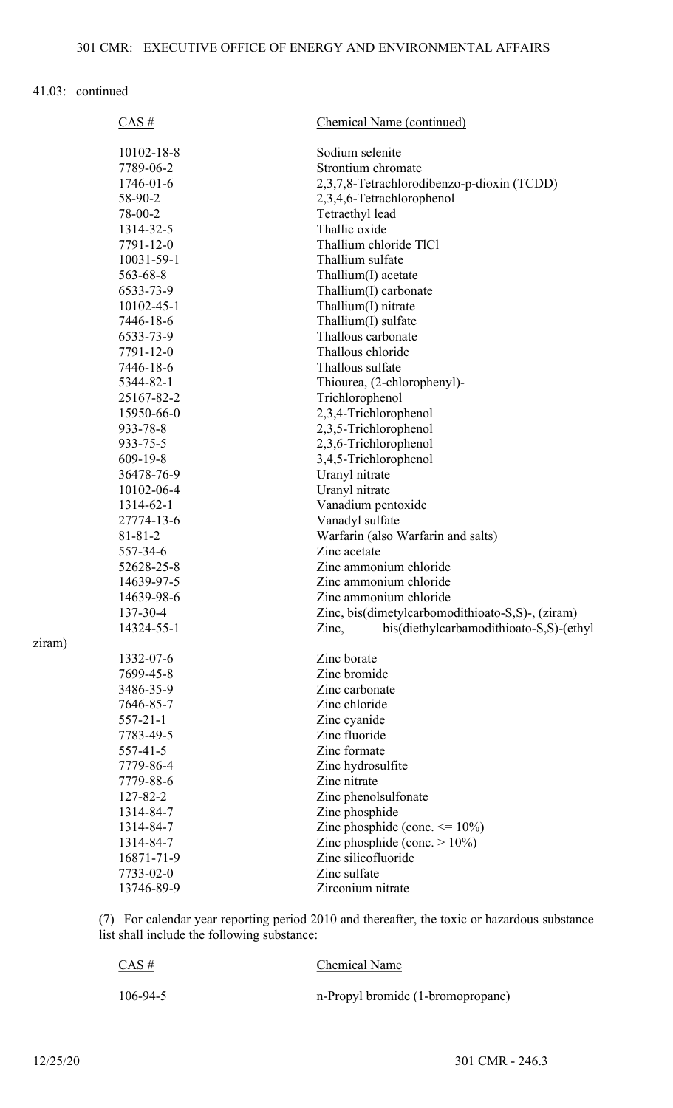| CAS#            | Chemical Name (continued)                        |
|-----------------|--------------------------------------------------|
| 10102-18-8      | Sodium selenite                                  |
| 7789-06-2       | Strontium chromate                               |
| $1746 - 01 - 6$ | 2,3,7,8-Tetrachlorodibenzo-p-dioxin (TCDD)       |
| 58-90-2         | 2,3,4,6-Tetrachlorophenol                        |
| 78-00-2         | Tetraethyl lead                                  |
| 1314-32-5       | Thallic oxide                                    |
| 7791-12-0       | Thallium chloride TlCl                           |
| 10031-59-1      | Thallium sulfate                                 |
| 563-68-8        | $Thallium(I)$ acetate                            |
| 6533-73-9       | Thallium(I) carbonate                            |
| 10102-45-1      | Thallium(I) nitrate                              |
| 7446-18-6       | Thallium(I) sulfate                              |
| 6533-73-9       | Thallous carbonate                               |
| 7791-12-0       | Thallous chloride                                |
| 7446-18-6       | Thallous sulfate                                 |
| 5344-82-1       | Thiourea, (2-chlorophenyl)-                      |
| 25167-82-2      | Trichlorophenol                                  |
| 15950-66-0      | 2,3,4-Trichlorophenol                            |
| 933-78-8        | 2,3,5-Trichlorophenol                            |
| 933-75-5        | 2,3,6-Trichlorophenol                            |
| 609-19-8        | 3,4,5-Trichlorophenol                            |
| 36478-76-9      | Uranyl nitrate                                   |
| 10102-06-4      | Uranyl nitrate                                   |
| 1314-62-1       | Vanadium pentoxide                               |
| 27774-13-6      | Vanadyl sulfate                                  |
| $81 - 81 - 2$   | Warfarin (also Warfarin and salts)               |
| 557-34-6        | Zinc acetate                                     |
| 52628-25-8      | Zinc ammonium chloride                           |
| 14639-97-5      | Zinc ammonium chloride                           |
| 14639-98-6      | Zinc ammonium chloride                           |
| 137-30-4        | Zinc, bis(dimetylcarbomodithioato-S,S)-, (ziram) |
| 14324-55-1      | bis(diethylcarbamodithioato-S,S)-(ethyl<br>Zinc, |
| 1332-07-6       | Zinc borate                                      |
| 7699-45-8       | Zinc bromide                                     |
| 3486-35-9       | Zinc carbonate                                   |
| 7646-85-7       | Zinc chloride                                    |
| $557 - 21 - 1$  | Zinc cyanide                                     |
| 7783-49-5       | Zinc fluoride                                    |
| $557 - 41 - 5$  | Zinc formate                                     |
| 7779-86-4       | Zinc hydrosulfite                                |
| 7779-88-6       | Zinc nitrate                                     |
| 127-82-2        | Zinc phenolsulfonate                             |
| 1314-84-7       | Zinc phosphide                                   |
| 1314-84-7       | Zinc phosphide (conc. $\leq$ 10%)                |
| 1314-84-7       | Zinc phosphide (conc. $> 10\%$ )                 |
| 16871-71-9      | Zinc silicofluoride                              |
| 7733-02-0       | Zinc sulfate                                     |
| 13746-89-9      | Zirconium nitrate                                |

(7) For calendar year reporting period 2010 and thereafter, the toxic or hazardous substance list shall include the following substance:

| CAS#           | <b>Chemical Name</b>              |
|----------------|-----------------------------------|
| $106 - 94 - 5$ | n-Propyl bromide (1-bromopropane) |

ziram)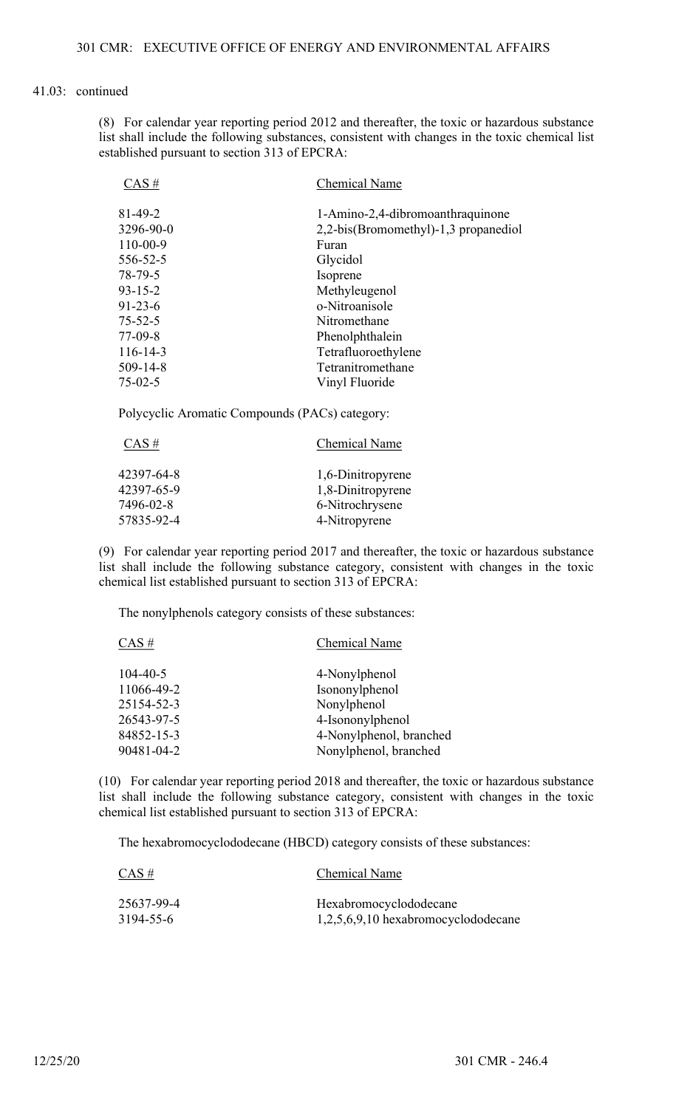(8) For calendar year reporting period 2012 and thereafter, the toxic or hazardous substance list shall include the following substances, consistent with changes in the toxic chemical list established pursuant to section 313 of EPCRA:

| $CAS \#$       | <b>Chemical Name</b>                 |
|----------------|--------------------------------------|
| $81 - 49 - 2$  | 1-Amino-2,4-dibromoanthraquinone     |
| 3296-90-0      | 2,2-bis(Bromomethyl)-1,3 propanediol |
| $110 - 00 - 9$ | Furan                                |
| 556-52-5       | Glycidol                             |
| 78-79-5        | Isoprene                             |
| $93 - 15 - 2$  | Methyleugenol                        |
| $91 - 23 - 6$  | o-Nitroanisole                       |
| $75 - 52 - 5$  | Nitromethane                         |
| $77-09-8$      | Phenolphthalein                      |
| $116 - 14 - 3$ | Tetrafluoroethylene                  |
| $509 - 14 - 8$ | Tetranitromethane                    |
| $75 - 02 - 5$  | Vinyl Fluoride                       |

Polycyclic Aromatic Compounds (PACs) category:

| $CAS \#$   | Chemical Name     |
|------------|-------------------|
| 42397-64-8 | 1,6-Dinitropyrene |
| 42397-65-9 | 1,8-Dinitropyrene |
| 7496-02-8  | 6-Nitrochrysene   |
| 57835-92-4 | 4-Nitropyrene     |

(9) For calendar year reporting period 2017 and thereafter, the toxic or hazardous substance list shall include the following substance category, consistent with changes in the toxic chemical list established pursuant to section 313 of EPCRA:

The nonylphenols category consists of these substances:

| Chemical Name           |
|-------------------------|
| 4-Nonylphenol           |
| Isononylphenol          |
| Nonylphenol             |
| 4-Isononylphenol        |
| 4-Nonylphenol, branched |
| Nonylphenol, branched   |
|                         |

(10) For calendar year reporting period 2018 and thereafter, the toxic or hazardous substance list shall include the following substance category, consistent with changes in the toxic chemical list established pursuant to section 313 of EPCRA:

The hexabromocyclododecane (HBCD) category consists of these substances:

| $CAS \#$   | Chemical Name                         |
|------------|---------------------------------------|
| 25637-99-4 | Hexabromocyclododecane                |
| 3194-55-6  | $1,2,5,6,9,10$ hexabromocyclododecane |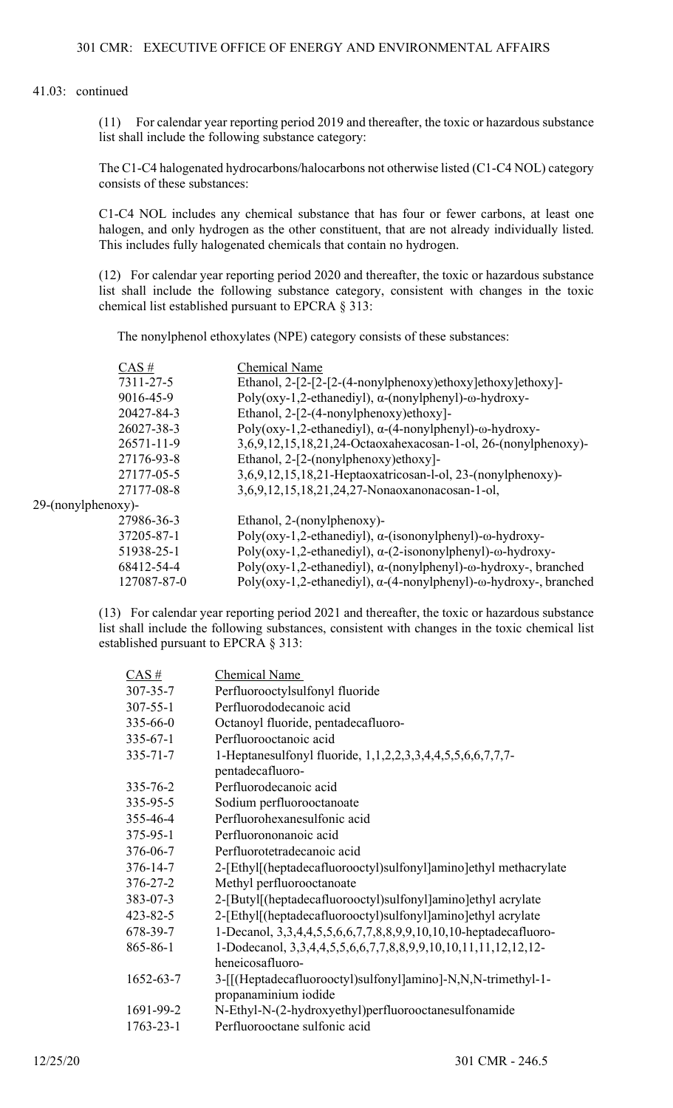(11) For calendar year reporting period 2019 and thereafter, the toxic or hazardous substance list shall include the following substance category:

The C1-C4 halogenated hydrocarbons/halocarbons not otherwise listed (C1-C4 NOL) category consists of these substances:

C1-C4 NOL includes any chemical substance that has four or fewer carbons, at least one halogen, and only hydrogen as the other constituent, that are not already individually listed. This includes fully halogenated chemicals that contain no hydrogen.

(12) For calendar year reporting period 2020 and thereafter, the toxic or hazardous substance list shall include the following substance category, consistent with changes in the toxic chemical list established pursuant to EPCRA § 313:

The nonylphenol ethoxylates (NPE) category consists of these substances:

|                    | $CAS \#$         | <b>Chemical Name</b>                                                              |
|--------------------|------------------|-----------------------------------------------------------------------------------|
|                    | 7311-27-5        | Ethanol, $2-[2-[2-(4-nonylphenoxy)ethoxy]ethoxy]ethoxy]$                          |
|                    | 9016-45-9        | Poly(oxy-1,2-ethanediyl), $\alpha$ -(nonylphenyl)- $\omega$ -hydroxy-             |
|                    | 20427-84-3       | Ethanol, 2-[2-(4-nonylphenoxy)ethoxy]-                                            |
|                    | 26027-38-3       | Poly(oxy-1,2-ethanediyl), $\alpha$ -(4-nonylphenyl)- $\omega$ -hydroxy-           |
|                    | $26571 - 11 - 9$ | 3,6,9,12,15,18,21,24-Octaoxahexacosan-1-ol, 26-(nonylphenoxy)-                    |
|                    | 27176-93-8       | Ethanol, 2-[2-(nonylphenoxy)ethoxy]-                                              |
|                    | 27177-05-5       | 3,6,9,12,15,18,21-Heptaoxatricosan-l-ol, 23-(nonylphenoxy)-                       |
|                    | 27177-08-8       | 3,6,9,12,15,18,21,24,27-Nonaoxanonacosan-1-ol,                                    |
| 29-(nonylphenoxy)- |                  |                                                                                   |
|                    | 27986-36-3       | Ethanol, 2-(nonylphenoxy)-                                                        |
|                    | 37205-87-1       | Poly(oxy-1,2-ethanediyl), $\alpha$ -(isononylphenyl)- $\omega$ -hydroxy-          |
|                    | 51938-25-1       | Poly(oxy-1,2-ethanediyl), $\alpha$ -(2-isononylphenyl)- $\omega$ -hydroxy-        |
|                    | 68412-54-4       | Poly(oxy-1,2-ethanediyl), $\alpha$ -(nonylphenyl)- $\omega$ -hydroxy-, branched   |
|                    | 127087-87-0      | Poly(oxy-1,2-ethanediyl), $\alpha$ -(4-nonylphenyl)- $\omega$ -hydroxy-, branched |
|                    |                  |                                                                                   |

(13) For calendar year reporting period 2021 and thereafter, the toxic or hazardous substance list shall include the following substances, consistent with changes in the toxic chemical list established pursuant to EPCRA § 313:

| $\overline{CAS}$ # | Chemical Name                                                    |
|--------------------|------------------------------------------------------------------|
| 307-35-7           | Perfluorooctylsulfonyl fluoride                                  |
| $307 - 55 - 1$     | Perfluorododecanoic acid                                         |
| 335-66-0           | Octanoyl fluoride, pentadecafluoro-                              |
| $335 - 67 - 1$     | Perfluorooctanoic acid                                           |
| 335-71-7           | 1-Heptanesulfonyl fluoride, 1,1,2,2,3,3,4,4,5,5,6,6,7,7,7-       |
|                    | pentadecafluoro-                                                 |
| 335-76-2           | Perfluorodecanoic acid                                           |
| 335-95-5           | Sodium perfluorooctanoate                                        |
| 355-46-4           | Perfluorohexanesulfonic acid                                     |
| $375 - 95 - 1$     | Perfluorononanoic acid                                           |
| 376-06-7           | Perfluorotetradecanoic acid                                      |
| $376 - 14 - 7$     | 2-[Ethyl](heptadecafluorooctyl)sulfonyl]amino]ethyl methacrylate |
| $376 - 27 - 2$     | Methyl perfluorooctanoate                                        |
| 383-07-3           | 2-[Butyl[(heptadecafluorooctyl)sulfonyl]amino]ethyl acrylate     |
| $423 - 82 - 5$     | 2-[Ethyl[(heptadecafluorooctyl)sulfonyl]amino]ethyl acrylate     |
| 678-39-7           | 1-Decanol, 3,3,4,4,5,5,6,6,7,7,8,8,9,9,10,10,10-heptadecafluoro- |
| 865-86-1           | 1-Dodecanol, 3,3,4,4,5,5,6,6,7,7,8,8,9,9,10,10,11,11,12,12,12-   |
|                    | heneicosafluoro-                                                 |
| 1652-63-7          | 3-[[(Heptadecafluorooctyl)sulfonyl]amino]-N,N,N-trimethyl-1-     |
|                    | propanaminium iodide                                             |
| 1691-99-2          | N-Ethyl-N-(2-hydroxyethyl)perfluorooctanesulfonamide             |
| $1763 - 23 - 1$    | Perfluorooctane sulfonic acid                                    |
|                    |                                                                  |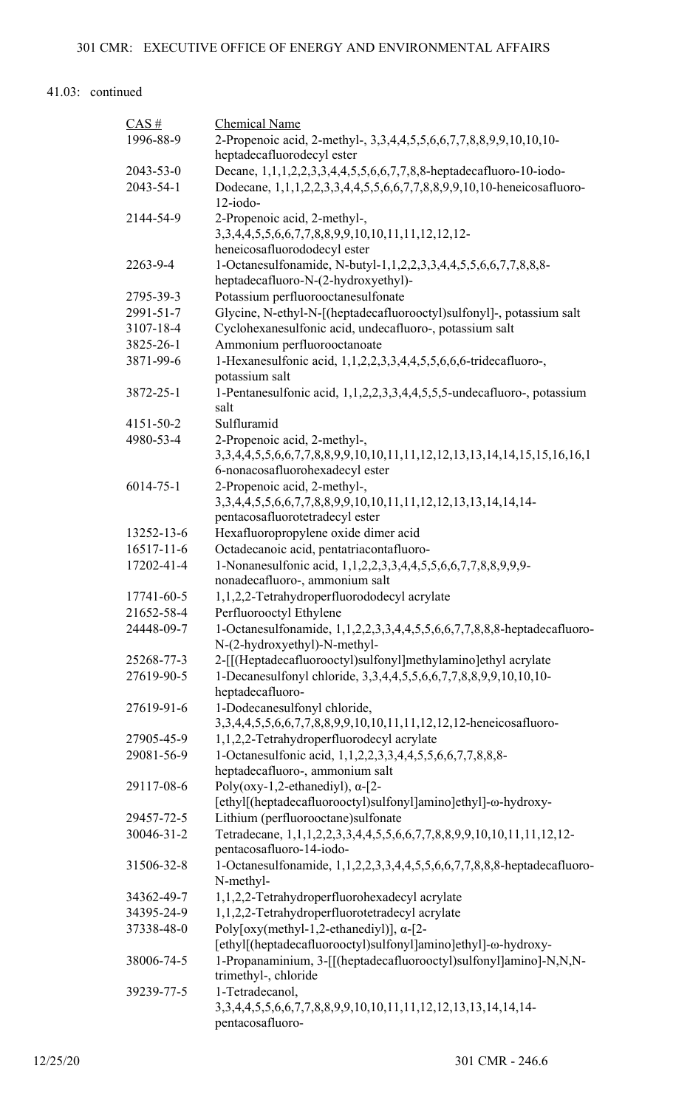| $CAS$ #                | Chemical Name                                                                                                                   |
|------------------------|---------------------------------------------------------------------------------------------------------------------------------|
| 1996-88-9              | 2-Propenoic acid, 2-methyl-, 3,3,4,4,5,5,6,6,7,7,8,8,9,9,10,10,10-                                                              |
|                        | heptadecafluorodecyl ester                                                                                                      |
| 2043-53-0              | Decane, 1,1,1,2,2,3,3,4,4,5,5,6,6,7,7,8,8-heptadecafluoro-10-iodo-                                                              |
| 2043-54-1              | Dodecane, 1,1,1,2,2,3,3,4,4,5,5,6,6,7,7,8,8,9,9,10,10-heneicosafluoro-                                                          |
|                        | $12$ -iodo-                                                                                                                     |
| 2144-54-9              | 2-Propenoic acid, 2-methyl-,                                                                                                    |
|                        | 3, 3, 4, 4, 5, 5, 6, 6, 7, 7, 8, 8, 9, 9, 10, 10, 11, 11, 12, 12, 12-                                                           |
|                        | heneicosafluorododecyl ester                                                                                                    |
| 2263-9-4               | 1-Octanesulfonamide, N-butyl-1,1,2,2,3,3,4,4,5,5,6,6,7,7,8,8,8-                                                                 |
|                        | heptadecafluoro-N-(2-hydroxyethyl)-                                                                                             |
| 2795-39-3<br>2991-51-7 | Potassium perfluorooctanesulfonate                                                                                              |
| 3107-18-4              | Glycine, N-ethyl-N-[(heptadecafluorooctyl)sulfonyl]-, potassium salt<br>Cyclohexanesulfonic acid, undecafluoro-, potassium salt |
| 3825-26-1              | Ammonium perfluorooctanoate                                                                                                     |
| 3871-99-6              | 1-Hexanesulfonic acid, 1,1,2,2,3,3,4,4,5,5,6,6,6-tridecafluoro-,                                                                |
|                        | potassium salt                                                                                                                  |
| 3872-25-1              | 1-Pentanesulfonic acid, 1,1,2,2,3,3,4,4,5,5,5-undecafluoro-, potassium                                                          |
|                        | salt                                                                                                                            |
| 4151-50-2              | Sulfluramid                                                                                                                     |
| 4980-53-4              | 2-Propenoic acid, 2-methyl-,                                                                                                    |
|                        | 3, 3, 4, 4, 5, 5, 6, 6, 7, 7, 8, 8, 9, 9, 10, 10, 11, 11, 12, 12, 13, 13, 14, 14, 15, 15, 16, 16, 1                             |
| $6014 - 75 - 1$        | 6-nonacosafluorohexadecyl ester                                                                                                 |
|                        | 2-Propenoic acid, 2-methyl-,<br>3, 3, 4, 4, 5, 5, 6, 6, 7, 7, 8, 8, 9, 9, 10, 10, 11, 11, 12, 12, 13, 13, 14, 14, 14-           |
|                        | pentacosafluorotetradecyl ester                                                                                                 |
| 13252-13-6             | Hexafluoropropylene oxide dimer acid                                                                                            |
| $16517 - 11 - 6$       | Octadecanoic acid, pentatriacontafluoro-                                                                                        |
| 17202-41-4             | 1-Nonanesulfonic acid, 1,1,2,2,3,3,4,4,5,5,6,6,7,7,8,8,9,9,9-                                                                   |
|                        | nonadecafluoro-, ammonium salt                                                                                                  |
| 17741-60-5             | 1,1,2,2-Tetrahydroperfluorododecyl acrylate                                                                                     |
| 21652-58-4             | Perfluorooctyl Ethylene                                                                                                         |
| 24448-09-7             | 1-Octanesulfonamide, 1,1,2,2,3,3,4,4,5,5,6,6,7,7,8,8,8-heptadecafluoro-                                                         |
|                        | N-(2-hydroxyethyl)-N-methyl-                                                                                                    |
| 25268-77-3             | 2-[[(Heptadecafluorooctyl)sulfonyl]methylamino]ethyl acrylate                                                                   |
| 27619-90-5             | 1-Decanesulfonyl chloride, 3,3,4,4,5,5,6,6,7,7,8,8,9,9,10,10,10-                                                                |
|                        | heptadecafluoro-                                                                                                                |
| 27619-91-6             | 1-Dodecanesulfonyl chloride,                                                                                                    |
|                        | 3,3,4,4,5,5,6,6,7,7,8,8,9,9,10,10,11,11,12,12,12-heneicosafluoro-                                                               |
| 27905-45-9             | 1,1,2,2-Tetrahydroperfluorodecyl acrylate                                                                                       |
| 29081-56-9             | 1-Octanesulfonic acid, 1,1,2,2,3,3,4,4,5,5,6,6,7,7,8,8,8-<br>heptadecafluoro-, ammonium salt                                    |
| 29117-08-6             | Poly(oxy-1,2-ethanediyl), $\alpha$ -[2-                                                                                         |
|                        | [ethyl](heptadecafluorooctyl)sulfonyl]amino]ethyl]-ω-hydroxy-                                                                   |
| 29457-72-5             | Lithium (perfluorooctane) sulfonate                                                                                             |
| 30046-31-2             | Tetradecane, 1,1,1,2,2,3,3,4,4,5,5,6,6,7,7,8,8,9,9,10,10,11,11,12,12-                                                           |
|                        | pentacosafluoro-14-iodo-                                                                                                        |
| 31506-32-8             | 1-Octanesulfonamide, 1,1,2,2,3,3,4,4,5,5,6,6,7,7,8,8,8-heptadecafluoro-                                                         |
|                        | N-methyl-                                                                                                                       |
| 34362-49-7             | 1,1,2,2-Tetrahydroperfluorohexadecyl acrylate                                                                                   |
| 34395-24-9             | 1,1,2,2-Tetrahydroperfluorotetradecyl acrylate                                                                                  |
| 37338-48-0             | Poly[oxy(methyl-1,2-ethanediyl)], $\alpha$ -[2-                                                                                 |
|                        | [ethyl[(heptadecafluorooctyl)sulfonyl]amino]ethyl]-ω-hydroxy-                                                                   |
| 38006-74-5             | 1-Propanaminium, 3-[[(heptadecafluorooctyl)sulfonyl]amino]-N,N,N-                                                               |
|                        | trimethyl-, chloride                                                                                                            |
| 39239-77-5             | 1-Tetradecanol,                                                                                                                 |
|                        | 3, 3, 4, 4, 5, 5, 6, 6, 7, 7, 8, 8, 9, 9, 10, 10, 11, 11, 12, 12, 13, 13, 14, 14, 14-<br>pentacosafluoro-                       |
|                        |                                                                                                                                 |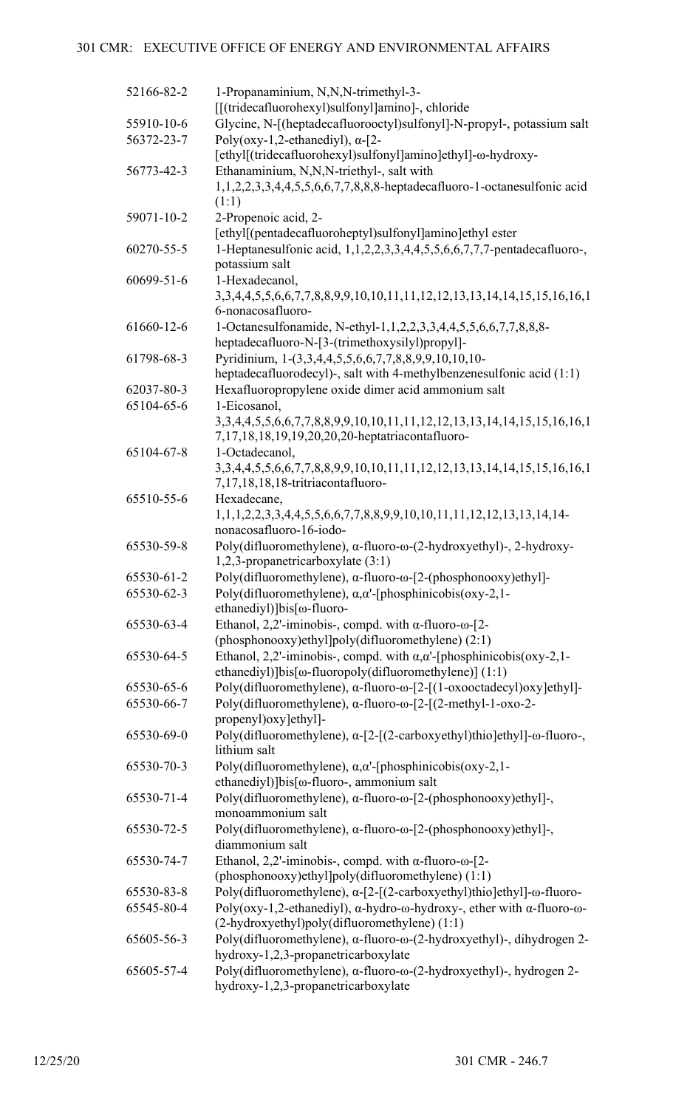| 52166-82-2 | 1-Propanaminium, N,N,N-trimethyl-3-<br>[[(tridecafluorohexyl)sulfonyl]amino]-, chloride                                               |
|------------|---------------------------------------------------------------------------------------------------------------------------------------|
| 55910-10-6 | Glycine, N-[(heptadecafluorooctyl)sulfonyl]-N-propyl-, potassium salt                                                                 |
| 56372-23-7 | Poly(oxy-1,2-ethanediyl), $\alpha$ -[2-                                                                                               |
|            | [ethyl[(tridecafluorohexyl)sulfonyl]amino]ethyl]-@-hydroxy-                                                                           |
| 56773-42-3 | Ethanaminium, N,N,N-triethyl-, salt with                                                                                              |
|            | 1,1,2,2,3,3,4,4,5,5,6,6,7,7,8,8,8-heptadecafluoro-1-octanesulfonic acid                                                               |
|            | (1:1)                                                                                                                                 |
| 59071-10-2 | 2-Propenoic acid, 2-                                                                                                                  |
|            | [ethyl[(pentadecafluoroheptyl)sulfonyl]amino]ethyl ester                                                                              |
| 60270-55-5 | 1-Heptanesulfonic acid, 1,1,2,2,3,3,4,4,5,5,6,6,7,7,7-pentadecafluoro-,                                                               |
|            | potassium salt                                                                                                                        |
| 60699-51-6 | 1-Hexadecanol,                                                                                                                        |
|            | 3, 3, 4, 4, 5, 5, 6, 6, 7, 7, 8, 8, 9, 9, 10, 10, 11, 11, 12, 12, 13, 13, 14, 14, 15, 15, 16, 16, 1                                   |
|            | 6-nonacosafluoro-                                                                                                                     |
| 61660-12-6 | 1-Octanesulfonamide, N-ethyl-1,1,2,2,3,3,4,4,5,5,6,6,7,7,8,8,8-<br>heptadecafluoro-N-[3-(trimethoxysilyl)propyl]-                     |
| 61798-68-3 | Pyridinium, 1-(3,3,4,4,5,5,6,6,7,7,8,8,9,9,10,10,10-                                                                                  |
|            | heptadecafluorodecyl)-, salt with 4-methylbenzenesulfonic acid (1:1)                                                                  |
| 62037-80-3 | Hexafluoropropylene oxide dimer acid ammonium salt                                                                                    |
| 65104-65-6 | 1-Eicosanol,                                                                                                                          |
|            | 3, 3, 4, 4, 5, 5, 6, 6, 7, 7, 8, 8, 9, 9, 10, 10, 11, 11, 12, 12, 13, 13, 14, 14, 15, 15, 16, 16, 1                                   |
|            | 7,17,18,18,19,19,20,20,20-heptatriacontafluoro-                                                                                       |
| 65104-67-8 | 1-Octadecanol,                                                                                                                        |
|            | 3, 3, 4, 4, 5, 5, 6, 6, 7, 7, 8, 8, 9, 9, 10, 10, 11, 11, 12, 12, 13, 13, 14, 14, 15, 15, 16, 16, 1                                   |
|            | 7,17,18,18,18-tritriacontafluoro-                                                                                                     |
| 65510-55-6 | Hexadecane,                                                                                                                           |
|            | 1,1,1,2,2,3,3,4,4,5,5,6,6,7,7,8,8,9,9,10,10,11,11,12,12,13,13,14,14-                                                                  |
|            | nonacosafluoro-16-iodo-                                                                                                               |
| 65530-59-8 | Poly(difluoromethylene), α-fluoro-ω-(2-hydroxyethyl)-, 2-hydroxy-                                                                     |
|            | 1,2,3-propanetricarboxylate (3:1)                                                                                                     |
| 65530-61-2 | Poly(difluoromethylene), α-fluoro-ω-[2-(phosphonooxy)ethyl]-                                                                          |
| 65530-62-3 | Poly(difluoromethylene), α, α'-[phosphinicobis(oxy-2,1-                                                                               |
|            | ethanediyl)]bis[ω-fluoro-                                                                                                             |
| 65530-63-4 | Ethanol, 2,2'-iminobis-, compd. with $\alpha$ -fluoro- $\omega$ -[2-                                                                  |
| 65530-64-5 | (phosphonooxy)ethyl]poly(difluoromethylene) (2:1)<br>Ethanol, 2,2'-iminobis-, compd. with $\alpha, \alpha'$ -[phosphinicobis(oxy-2,1- |
|            | ethanediyl)]bis[ω-fluoropoly(difluoromethylene)] (1:1)                                                                                |
| 65530-65-6 | Poly(difluoromethylene), α-fluoro-ω-[2-[(1-oxooctadecyl)oxy]ethyl]-                                                                   |
| 65530-66-7 | Poly(difluoromethylene), α-fluoro-ω-[2-[(2-methyl-1-oxo-2-                                                                            |
|            | propenyl) oxy [ethyl]-                                                                                                                |
| 65530-69-0 | Poly(difluoromethylene), α-[2-[(2-carboxyethyl)thio]ethyl]-ω-fluoro-,                                                                 |
|            | lithium salt                                                                                                                          |
| 65530-70-3 | Poly(difluoromethylene), $\alpha, \alpha'$ -[phosphinicobis(oxy-2,1-                                                                  |
|            | ethanediyl)]bis[ω-fluoro-, ammonium salt                                                                                              |
| 65530-71-4 | Poly(difluoromethylene), α-fluoro-ω-[2-(phosphonooxy)ethyl]-,                                                                         |
|            | monoammonium salt                                                                                                                     |
| 65530-72-5 | Poly(difluoromethylene), α-fluoro-ω-[2-(phosphonooxy)ethyl]-,                                                                         |
|            | diammonium salt                                                                                                                       |
| 65530-74-7 | Ethanol, 2,2'-iminobis-, compd. with $\alpha$ -fluoro- $\omega$ -[2-                                                                  |
|            | (phosphonooxy)ethyl]poly(difluoromethylene) (1:1)                                                                                     |
| 65530-83-8 | Poly(difluoromethylene), α-[2-[(2-carboxyethyl)thio]ethyl]-ω-fluoro-                                                                  |
| 65545-80-4 | Poly(oxy-1,2-ethanediyl), $\alpha$ -hydro- $\omega$ -hydroxy-, ether with $\alpha$ -fluoro- $\omega$ -                                |
|            | (2-hydroxyethyl)poly(difluoromethylene) (1:1)                                                                                         |
| 65605-56-3 | Poly(difluoromethylene), α-fluoro-ω-(2-hydroxyethyl)-, dihydrogen 2-<br>hydroxy-1,2,3-propanetricarboxylate                           |
| 65605-57-4 | Poly(difluoromethylene), α-fluoro-ω-(2-hydroxyethyl)-, hydrogen 2-                                                                    |
|            | hydroxy-1,2,3-propanetricarboxylate                                                                                                   |
|            |                                                                                                                                       |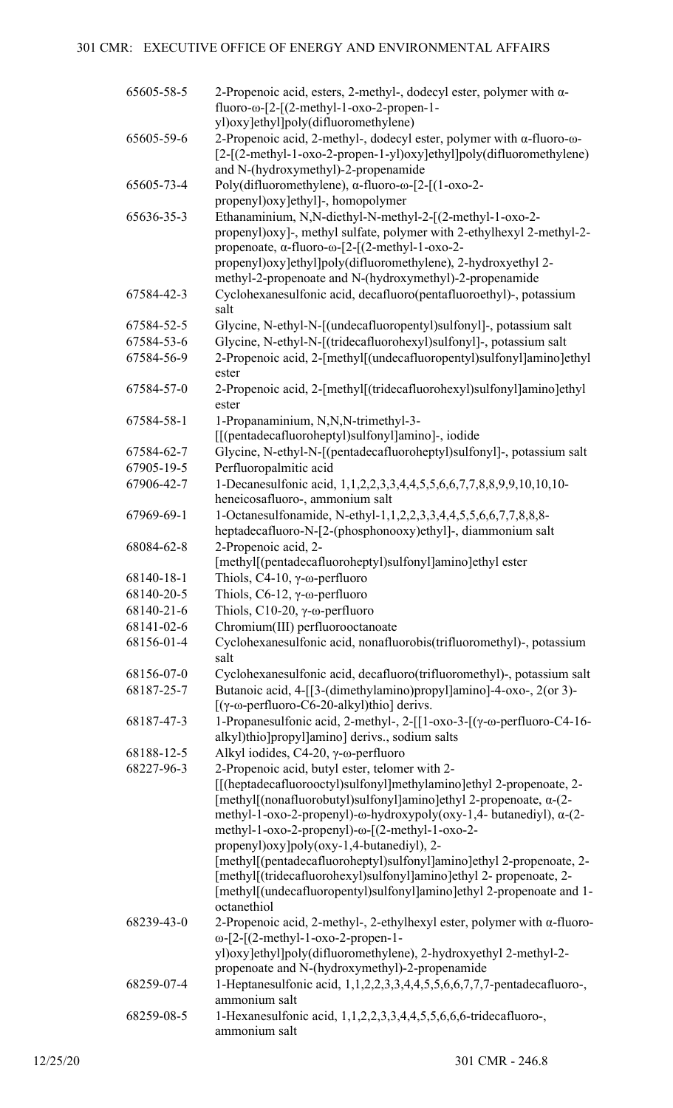| 65605-58-5 | 2-Propenoic acid, esters, 2-methyl-, dodecyl ester, polymer with $\alpha$ -<br>$fluoro-ω-[2-[(2-methyl-1-oxo-2-propen-1-$<br>yl)oxy]ethyl]poly(difluoromethylene)                                                                                                                         |
|------------|-------------------------------------------------------------------------------------------------------------------------------------------------------------------------------------------------------------------------------------------------------------------------------------------|
| 65605-59-6 | 2-Propenoic acid, 2-methyl-, dodecyl ester, polymer with $\alpha$ -fluoro- $\omega$ -<br>[2-[(2-methyl-1-oxo-2-propen-1-yl)oxy]ethyl]poly(difluoromethylene)                                                                                                                              |
|            | and N-(hydroxymethyl)-2-propenamide                                                                                                                                                                                                                                                       |
| 65605-73-4 | Poly(difluoromethylene), α-fluoro-ω-[2-[(1-oxo-2-                                                                                                                                                                                                                                         |
|            | propenyl)oxy]ethyl]-, homopolymer                                                                                                                                                                                                                                                         |
| 65636-35-3 | Ethanaminium, N,N-diethyl-N-methyl-2-[(2-methyl-1-oxo-2-<br>propenyl) oxy]-, methyl sulfate, polymer with 2-ethylhexyl 2-methyl-2-<br>propenoate, $\alpha$ -fluoro- $\omega$ -[2-[(2-methyl-1-oxo-2-<br>propenyl) oxy]ethyl] poly(difluoromethylene), 2-hydroxyethyl 2-                   |
| 67584-42-3 | methyl-2-propenoate and N-(hydroxymethyl)-2-propenamide<br>Cyclohexanesulfonic acid, decafluoro(pentafluoroethyl)-, potassium                                                                                                                                                             |
|            | salt                                                                                                                                                                                                                                                                                      |
| 67584-52-5 | Glycine, N-ethyl-N-[(undecafluoropentyl)sulfonyl]-, potassium salt                                                                                                                                                                                                                        |
| 67584-53-6 | Glycine, N-ethyl-N-[(tridecafluorohexyl)sulfonyl]-, potassium salt                                                                                                                                                                                                                        |
| 67584-56-9 | 2-Propenoic acid, 2-[methyl[(undecafluoropentyl)sulfonyl]amino]ethyl<br>ester                                                                                                                                                                                                             |
| 67584-57-0 | 2-Propenoic acid, 2-[methyl[(tridecafluorohexyl)sulfonyl]amino]ethyl<br>ester                                                                                                                                                                                                             |
| 67584-58-1 | 1-Propanaminium, N,N,N-trimethyl-3-                                                                                                                                                                                                                                                       |
|            | [[(pentadecafluoroheptyl)sulfonyl]amino]-, iodide                                                                                                                                                                                                                                         |
| 67584-62-7 | Glycine, N-ethyl-N-[(pentadecafluoroheptyl)sulfonyl]-, potassium salt                                                                                                                                                                                                                     |
| 67905-19-5 | Perfluoropalmitic acid                                                                                                                                                                                                                                                                    |
| 67906-42-7 | 1-Decanesulfonic acid, 1,1,2,2,3,3,4,4,5,5,6,6,7,7,8,8,9,9,10,10,10-<br>heneicosafluoro-, ammonium salt                                                                                                                                                                                   |
| 67969-69-1 | 1-Octanesulfonamide, N-ethyl-1,1,2,2,3,3,4,4,5,5,6,6,7,7,8,8,8-<br>heptadecafluoro-N-[2-(phosphonooxy)ethyl]-, diammonium salt                                                                                                                                                            |
| 68084-62-8 | 2-Propenoic acid, 2-<br>[methyl[(pentadecafluoroheptyl)sulfonyl]amino]ethyl ester                                                                                                                                                                                                         |
| 68140-18-1 | Thiols, C4-10, $\gamma$ - $\omega$ -perfluoro                                                                                                                                                                                                                                             |
| 68140-20-5 | Thiols, $C6-12$ , $\gamma$ - $\omega$ -perfluoro                                                                                                                                                                                                                                          |
| 68140-21-6 | Thiols, $C10-20$ , $\gamma$ - $\omega$ -perfluoro                                                                                                                                                                                                                                         |
| 68141-02-6 | Chromium(III) perfluorooctanoate                                                                                                                                                                                                                                                          |
| 68156-01-4 | Cyclohexanesulfonic acid, nonafluorobis(trifluoromethyl)-, potassium<br>salt                                                                                                                                                                                                              |
| 68156-07-0 | Cyclohexanesulfonic acid, decafluoro(trifluoromethyl)-, potassium salt                                                                                                                                                                                                                    |
| 68187-25-7 | Butanoic acid, 4-[[3-(dimethylamino)propyl]amino]-4-oxo-, 2(or 3)-<br>$[(\gamma$ -ω-perfluoro-C6-20-alkyl)thio] derivs.                                                                                                                                                                   |
| 68187-47-3 | 1-Propanesulfonic acid, 2-methyl-, 2-[[1-oxo-3-[(γ-ω-perfluoro-C4-16-<br>alkyl)thio]propyl]amino] derivs., sodium salts                                                                                                                                                                   |
| 68188-12-5 | Alkyl iodides, C4-20, $\gamma$ - $\omega$ -perfluoro                                                                                                                                                                                                                                      |
| 68227-96-3 | 2-Propenoic acid, butyl ester, telomer with 2-<br>[[(heptadecafluorooctyl)sulfonyl]methylamino]ethyl 2-propenoate, 2-<br>[methyl[(nonafluorobutyl)sulfonyl]amino]ethyl 2-propenoate, $\alpha$ -(2-<br>methyl-1-oxo-2-propenyl)- $\omega$ -hydroxypoly(oxy-1,4- butanediyl), $\alpha$ -(2- |
|            | methyl-1-oxo-2-propenyl)-ω-[(2-methyl-1-oxo-2-<br>propenyl) oxy] poly(oxy-1,4-butanediyl), 2-<br>[methyl[(pentadecafluoroheptyl)sulfonyl]amino]ethyl 2-propenoate, 2-                                                                                                                     |
|            | [methyl[(tridecafluorohexyl)sulfonyl]amino]ethyl 2- propenoate, 2-<br>[methyl[(undecafluoropentyl)sulfonyl]amino]ethyl 2-propenoate and 1-<br>octanethiol                                                                                                                                 |
| 68239-43-0 | 2-Propenoic acid, 2-methyl-, 2-ethylhexyl ester, polymer with $\alpha$ -fluoro-<br>$\omega$ -[2-[(2-methyl-1-oxo-2-propen-1-<br>yl)oxy]ethyl]poly(difluoromethylene), 2-hydroxyethyl 2-methyl-2-<br>propenoate and N-(hydroxymethyl)-2-propenamide                                        |
| 68259-07-4 | 1-Heptanesulfonic acid, 1,1,2,2,3,3,4,4,5,5,6,6,7,7,7-pentadecafluoro-,<br>ammonium salt                                                                                                                                                                                                  |
| 68259-08-5 | 1-Hexanesulfonic acid, 1,1,2,2,3,3,4,4,5,5,6,6,6-tridecafluoro-,<br>ammonium salt                                                                                                                                                                                                         |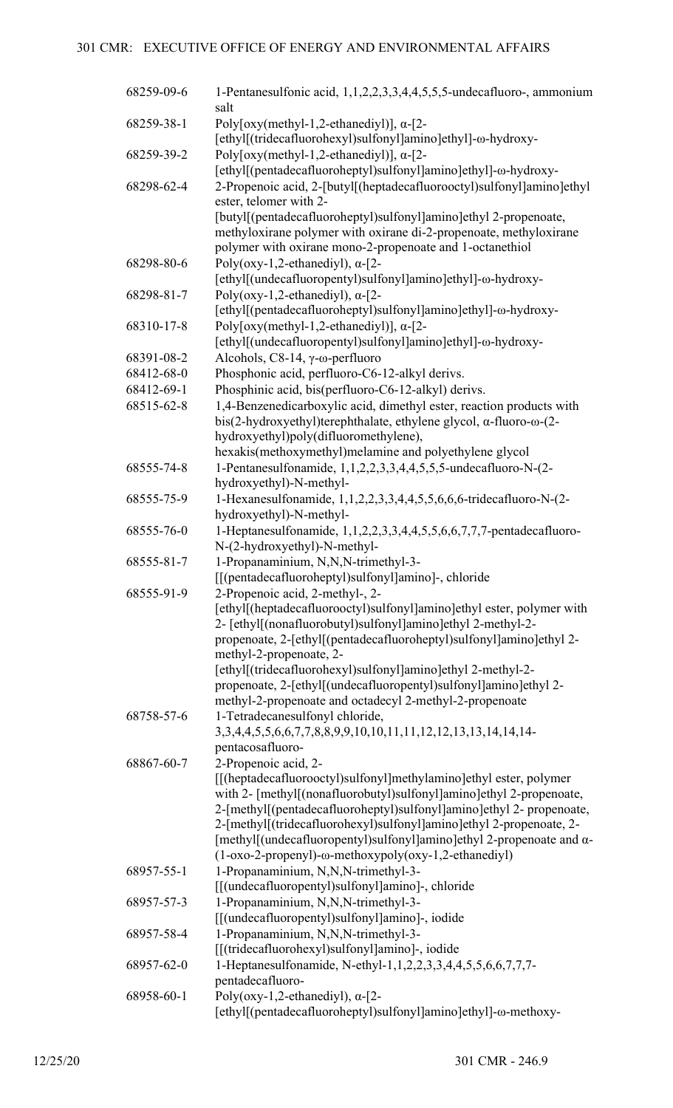| 68259-09-6 | 1-Pentanesulfonic acid, 1,1,2,2,3,3,4,4,5,5,5-undecafluoro-, ammonium<br>salt                                                                                                                                                                                                                                                                                                                                                                                           |
|------------|-------------------------------------------------------------------------------------------------------------------------------------------------------------------------------------------------------------------------------------------------------------------------------------------------------------------------------------------------------------------------------------------------------------------------------------------------------------------------|
| 68259-38-1 | Poly[oxy(methyl-1,2-ethanediyl)], $\alpha$ -[2-<br>[ethyl](tridecafluorohexyl)sulfonyl]amino]ethyl]-ω-hydroxy-                                                                                                                                                                                                                                                                                                                                                          |
| 68259-39-2 | Poly[oxy(methyl-1,2-ethanediyl)], $\alpha$ -[2-<br>[ethyl[(pentadecafluoroheptyl)sulfonyl]amino]ethyl]-ω-hydroxy-                                                                                                                                                                                                                                                                                                                                                       |
| 68298-62-4 | 2-Propenoic acid, 2-[butyl[(heptadecafluorooctyl)sulfonyl]amino]ethyl<br>ester, telomer with 2-                                                                                                                                                                                                                                                                                                                                                                         |
|            | [butyl[(pentadecafluoroheptyl)sulfonyl]amino]ethyl 2-propenoate,<br>methyloxirane polymer with oxirane di-2-propenoate, methyloxirane<br>polymer with oxirane mono-2-propenoate and 1-octanethiol                                                                                                                                                                                                                                                                       |
| 68298-80-6 | Poly(oxy-1,2-ethanediyl), $\alpha$ -[2-<br>[ethyl[(undecafluoropentyl)sulfonyl]amino]ethyl]-ω-hydroxy-                                                                                                                                                                                                                                                                                                                                                                  |
| 68298-81-7 | Poly(oxy-1,2-ethanediyl), $\alpha$ -[2-<br>[ethyl](pentadecafluoroheptyl)sulfonyl]amino]ethyl]-ω-hydroxy-                                                                                                                                                                                                                                                                                                                                                               |
| 68310-17-8 | Poly[oxy(methyl-1,2-ethanediyl)], $\alpha$ -[2-<br>[ethyl[(undecafluoropentyl)sulfonyl]amino]ethyl]-ω-hydroxy-                                                                                                                                                                                                                                                                                                                                                          |
| 68391-08-2 | Alcohols, $C8-14$ , $\gamma$ - $\omega$ -perfluoro                                                                                                                                                                                                                                                                                                                                                                                                                      |
| 68412-68-0 | Phosphonic acid, perfluoro-C6-12-alkyl derivs.                                                                                                                                                                                                                                                                                                                                                                                                                          |
| 68412-69-1 | Phosphinic acid, bis(perfluoro-C6-12-alkyl) derivs.                                                                                                                                                                                                                                                                                                                                                                                                                     |
| 68515-62-8 | 1,4-Benzenedicarboxylic acid, dimethyl ester, reaction products with<br>$bis(2-hydroxyethyl)$ terephthalate, ethylene glycol, $\alpha$ -fluoro- $\omega$ - $(2-$<br>hydroxyethyl)poly(difluoromethylene),                                                                                                                                                                                                                                                               |
|            | hexakis(methoxymethyl)melamine and polyethylene glycol                                                                                                                                                                                                                                                                                                                                                                                                                  |
| 68555-74-8 | 1-Pentanesulfonamide, 1,1,2,2,3,3,4,4,5,5,5-undecafluoro-N-(2-<br>hydroxyethyl)-N-methyl-                                                                                                                                                                                                                                                                                                                                                                               |
| 68555-75-9 | 1-Hexanesulfonamide, 1,1,2,2,3,3,4,4,5,5,6,6,6-tridecafluoro-N-(2-<br>hydroxyethyl)-N-methyl-                                                                                                                                                                                                                                                                                                                                                                           |
| 68555-76-0 | 1-Heptanesulfonamide, 1,1,2,2,3,3,4,4,5,5,6,6,7,7,7-pentadecafluoro-<br>N-(2-hydroxyethyl)-N-methyl-                                                                                                                                                                                                                                                                                                                                                                    |
| 68555-81-7 | 1-Propanaminium, N,N,N-trimethyl-3-<br>[[(pentadecafluoroheptyl)sulfonyl]amino]-, chloride                                                                                                                                                                                                                                                                                                                                                                              |
| 68555-91-9 | 2-Propenoic acid, 2-methyl-, 2-<br>[ethyl[(heptadecafluorooctyl)sulfonyl]amino]ethyl ester, polymer with<br>2- [ethyl[(nonafluorobutyl)sulfonyl]amino]ethyl 2-methyl-2-<br>propenoate, 2-[ethyl[(pentadecafluoroheptyl)sulfonyl]amino]ethyl 2-<br>methyl-2-propenoate, 2-<br>[ethyl[(tridecafluorohexyl)sulfonyl]amino]ethyl 2-methyl-2-<br>propenoate, 2-[ethyl[(undecafluoropentyl)sulfonyl]amino]ethyl 2-<br>methyl-2-propenoate and octadecyl 2-methyl-2-propenoate |
| 68758-57-6 | 1-Tetradecanesulfonyl chloride,<br>3, 3, 4, 4, 5, 5, 6, 6, 7, 7, 8, 8, 9, 9, 10, 10, 11, 11, 12, 12, 13, 13, 14, 14, 14-<br>pentacosafluoro-                                                                                                                                                                                                                                                                                                                            |
| 68867-60-7 | 2-Propenoic acid, 2-<br>[[(heptadecafluorooctyl)sulfonyl]methylamino]ethyl ester, polymer<br>with 2- [methyl] (nonafluorobutyl) sulfonyl] amino] ethyl 2-propenoate,<br>2-[methyl[(pentadecafluoroheptyl)sulfonyl]amino]ethyl 2- propenoate,<br>2-[methyl[(tridecafluorohexyl)sulfonyl]amino]ethyl 2-propenoate, 2-<br>[methyl[(undecafluoropentyl)sulfonyl]amino]ethyl 2-propenoate and α-<br>(1-oxo-2-propenyl)-ω-methoxypoly(oxy-1,2-ethanediyl)                     |
| 68957-55-1 | 1-Propanaminium, N,N,N-trimethyl-3-<br>[[(undecafluoropentyl)sulfonyl]amino]-, chloride                                                                                                                                                                                                                                                                                                                                                                                 |
| 68957-57-3 | 1-Propanaminium, N,N,N-trimethyl-3-<br>[[(undecafluoropentyl)sulfonyl]amino]-, iodide                                                                                                                                                                                                                                                                                                                                                                                   |
| 68957-58-4 | 1-Propanaminium, N,N,N-trimethyl-3-<br>[[(tridecafluorohexyl)sulfonyl]amino]-, iodide                                                                                                                                                                                                                                                                                                                                                                                   |
| 68957-62-0 | 1-Heptanesulfonamide, N-ethyl-1,1,2,2,3,3,4,4,5,5,6,6,7,7,7-<br>pentadecafluoro-                                                                                                                                                                                                                                                                                                                                                                                        |
| 68958-60-1 | Poly(oxy-1,2-ethanediyl), $\alpha$ -[2-<br>[ethyl[(pentadecafluoroheptyl)sulfonyl]amino]ethyl]-@-methoxy-                                                                                                                                                                                                                                                                                                                                                               |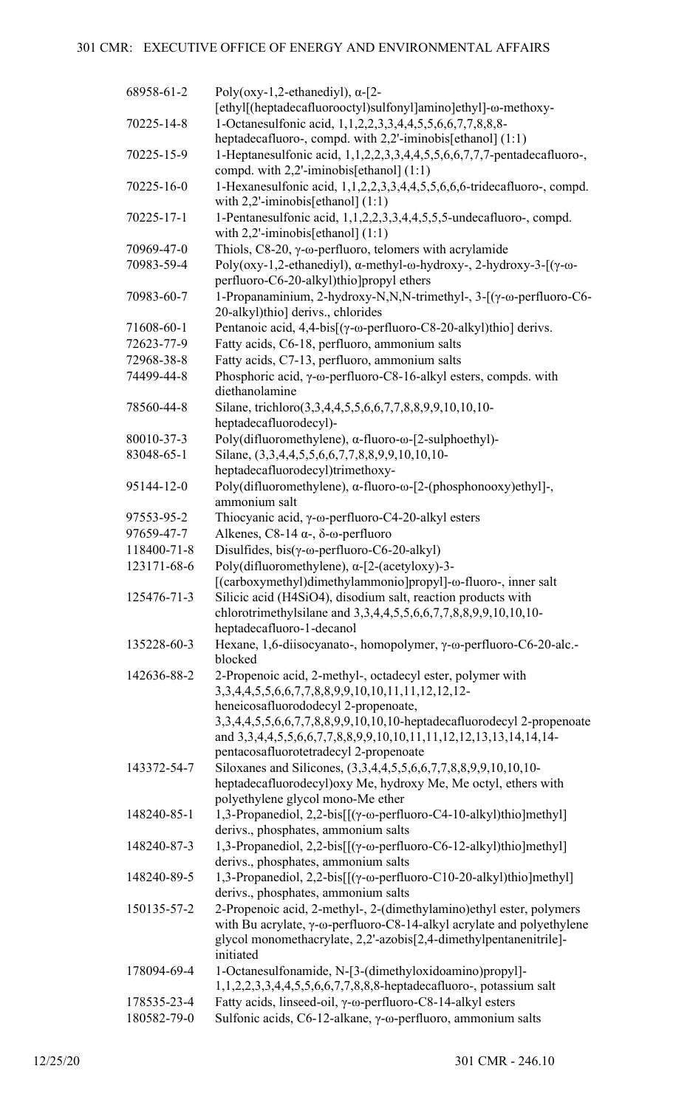| 68958-61-2                | Poly(oxy-1,2-ethanediyl), $\alpha$ -[2-<br>[ethyl[(heptadecafluorooctyl)sulfonyl]amino]ethyl]-@-methoxy-                           |
|---------------------------|------------------------------------------------------------------------------------------------------------------------------------|
| 70225-14-8                | 1-Octanesulfonic acid, 1,1,2,2,3,3,4,4,5,5,6,6,7,7,8,8,8-<br>heptadecafluoro-, compd. with 2,2'-iminobis[ethanol] (1:1)            |
| 70225-15-9                | 1-Heptanesulfonic acid, 1,1,2,2,3,3,4,4,5,5,6,6,7,7,7-pentadecafluoro-,                                                            |
| 70225-16-0                | compd. with $2,2'$ -iminobis[ethanol] $(1:1)$<br>1-Hexanesulfonic acid, 1,1,2,2,3,3,4,4,5,5,6,6,6-tridecafluoro-, compd.           |
| 70225-17-1                | with $2,2$ '-iminobis[ethanol] $(1:1)$<br>1-Pentanesulfonic acid, 1,1,2,2,3,3,4,4,5,5,5-undecafluoro-, compd.                      |
| 70969-47-0                | with $2,2$ '-iminobis[ethanol] $(1:1)$<br>Thiols, $C8-20$ , $\gamma$ - $\omega$ -perfluoro, telomers with acrylamide               |
| 70983-59-4                | Poly(oxy-1,2-ethanediyl), α-methyl-ω-hydroxy-, 2-hydroxy-3-[(γ-ω-                                                                  |
|                           | perfluoro-C6-20-alkyl)thio]propyl ethers                                                                                           |
| 70983-60-7                | 1-Propanaminium, 2-hydroxy-N,N,N-trimethyl-, 3-[(γ-ω-perfluoro-C6-<br>20-alkyl)thio] derivs., chlorides                            |
| 71608-60-1                | Pentanoic acid, 4,4-bis[(γ-ω-perfluoro-C8-20-alkyl)thio] derivs.                                                                   |
| 72623-77-9                | Fatty acids, C6-18, perfluoro, ammonium salts                                                                                      |
| 72968-38-8                | Fatty acids, C7-13, perfluoro, ammonium salts                                                                                      |
| 74499-44-8                | Phosphoric acid, $\gamma$ - $\omega$ -perfluoro-C8-16-alkyl esters, compds. with<br>diethanolamine                                 |
| 78560-44-8                | Silane, trichloro(3,3,4,4,5,5,6,6,7,7,8,8,9,9,10,10,10-<br>heptadecafluorodecyl)-                                                  |
| 80010-37-3                | Poly(difluoromethylene), α-fluoro-ω-[2-sulphoethyl)-                                                                               |
| 83048-65-1                | Silane, (3,3,4,4,5,5,6,6,7,7,8,8,9,9,10,10,10-                                                                                     |
|                           | heptadecafluorodecyl)trimethoxy-                                                                                                   |
| 95144-12-0                | Poly(difluoromethylene), α-fluoro-ω-[2-(phosphonooxy)ethyl]-,                                                                      |
|                           | ammonium salt                                                                                                                      |
| 97553-95-2                | Thiocyanic acid, $\gamma$ - $\omega$ -perfluoro-C4-20-alkyl esters                                                                 |
| 97659-47-7<br>118400-71-8 | Alkenes, C8-14 $\alpha$ -, $\delta$ - $\omega$ -perfluoro                                                                          |
|                           | Disulfides, $bis(y-\omega\text{-}perfluoro-C6-20-alkyl)$                                                                           |
| 123171-68-6               | Poly(difluoromethylene), $\alpha$ -[2-(acetyloxy)-3-<br>[(carboxymethyl)dimethylammonio]propyl]-@-fluoro-, inner salt              |
| 125476-71-3               | Silicic acid (H4SiO4), disodium salt, reaction products with<br>chlorotrimethylsilane and 3,3,4,4,5,5,6,6,7,7,8,8,9,9,10,10,10-    |
|                           | heptadecafluoro-1-decanol                                                                                                          |
| 135228-60-3               | Hexane, 1,6-diisocyanato-, homopolymer, γ-ω-perfluoro-C6-20-alc.-<br>blocked                                                       |
| 142636-88-2               | 2-Propenoic acid, 2-methyl-, octadecyl ester, polymer with                                                                         |
|                           | 3, 3, 4, 4, 5, 5, 6, 6, 7, 7, 8, 8, 9, 9, 10, 10, 11, 11, 12, 12, 12-                                                              |
|                           | heneicosafluorododecyl 2-propenoate,                                                                                               |
|                           | 3,3,4,4,5,5,6,6,7,7,8,8,9,9,10,10,10-heptadecafluorodecyl 2-propenoate                                                             |
|                           | and 3,3,4,4,5,5,6,6,7,7,8,8,9,9,10,10,11,11,12,12,13,13,14,14,14-                                                                  |
|                           | pentacosafluorotetradecyl 2-propenoate                                                                                             |
| 143372-54-7               | Siloxanes and Silicones, (3,3,4,4,5,5,6,6,7,7,8,8,9,9,10,10,10-<br>heptadecafluorodecyl) oxy Me, hydroxy Me, Me octyl, ethers with |
|                           | polyethylene glycol mono-Me ether                                                                                                  |
| 148240-85-1               | 1,3-Propanediol, 2,2-bis[[(γ-ω-perfluoro-C4-10-alkyl)thio]methyl]                                                                  |
|                           | derivs., phosphates, ammonium salts                                                                                                |
| 148240-87-3               | 1,3-Propanediol, 2,2-bis[[(γ-ω-perfluoro-C6-12-alkyl)thio]methyl]<br>derivs., phosphates, ammonium salts                           |
| 148240-89-5               | 1,3-Propanediol, 2,2-bis[[(γ-ω-perfluoro-C10-20-alkyl)thio]methyl]<br>derivs., phosphates, ammonium salts                          |
| 150135-57-2               | 2-Propenoic acid, 2-methyl-, 2-(dimethylamino) ethyl ester, polymers                                                               |
|                           | with Bu acrylate, γ-ω-perfluoro-C8-14-alkyl acrylate and polyethylene                                                              |
|                           | glycol monomethacrylate, 2,2'-azobis[2,4-dimethylpentanenitrile]-<br>initiated                                                     |
| 178094-69-4               | 1-Octanesulfonamide, N-[3-(dimethyloxidoamino)propyl]-                                                                             |
|                           | 1,1,2,2,3,3,4,4,5,5,6,6,7,7,8,8,8-heptadecafluoro-, potassium salt                                                                 |
| 178535-23-4               | Fatty acids, linseed-oil, γ-ω-perfluoro-C8-14-alkyl esters                                                                         |
| 180582-79-0               | Sulfonic acids, C6-12-alkane, γ-ω-perfluoro, ammonium salts                                                                        |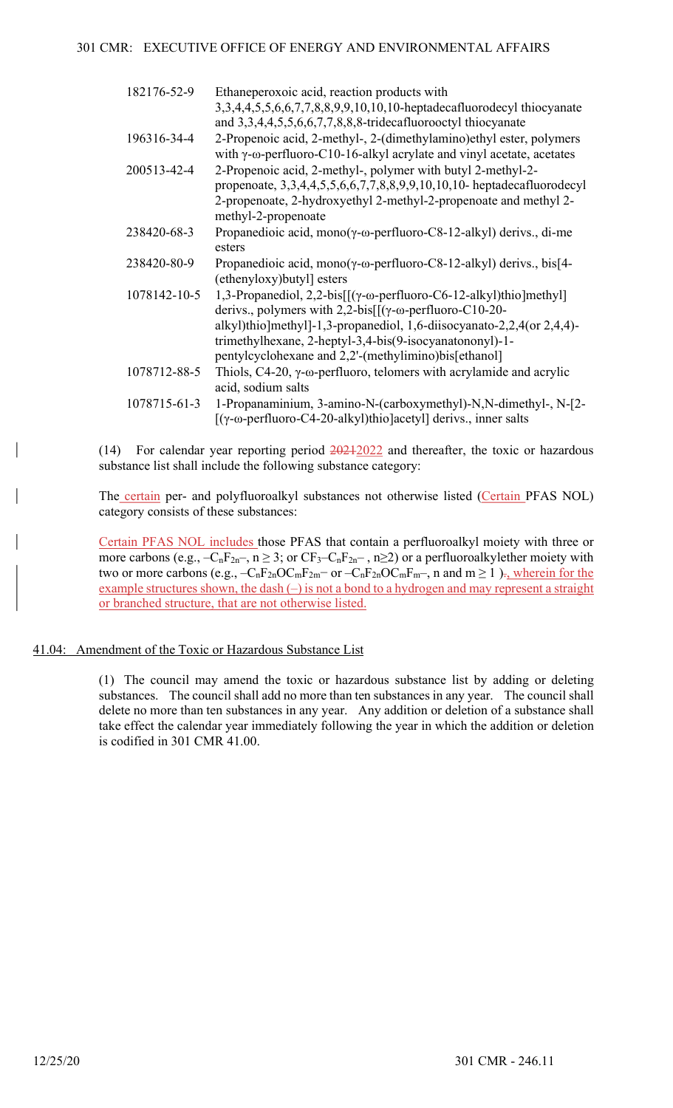| 182176-52-9  | Ethaneperoxoic acid, reaction products with<br>3,3,4,4,5,5,6,6,7,7,8,8,9,9,10,10,10-heptadecafluorodecyl thiocyanate<br>and 3,3,4,4,5,5,6,6,7,7,8,8,8-tridecafluorooctyl thiocyanate                                                                                                                                                                 |
|--------------|------------------------------------------------------------------------------------------------------------------------------------------------------------------------------------------------------------------------------------------------------------------------------------------------------------------------------------------------------|
| 196316-34-4  | 2-Propenoic acid, 2-methyl-, 2-(dimethylamino)ethyl ester, polymers<br>with $\gamma$ - $\omega$ -perfluoro-C10-16-alkyl acrylate and vinyl acetate, acetates                                                                                                                                                                                         |
| 200513-42-4  | 2-Propenoic acid, 2-methyl-, polymer with butyl 2-methyl-2-<br>propenoate, $3,3,4,4,5,5,6,6,7,7,8,8,9,9,10,10,10$ - heptadecafluorodecyl<br>2-propenoate, 2-hydroxyethyl 2-methyl-2-propenoate and methyl 2-<br>methyl-2-propenoate                                                                                                                  |
| 238420-68-3  | Propanedioic acid, mono( $\gamma$ - $\omega$ -perfluoro-C8-12-alkyl) derivs., di-me<br>esters                                                                                                                                                                                                                                                        |
| 238420-80-9  | Propanedioic acid, mono( $\gamma$ - $\omega$ -perfluoro-C8-12-alkyl) derivs., bis[4-<br>(ethenyloxy) butyl esters                                                                                                                                                                                                                                    |
| 1078142-10-5 | 1,3-Propanediol, 2,2-bis $[[(\gamma-\omega-perfluoro-C6-12-alkyl)thio]methyl]$<br>derivs., polymers with $2,2$ -bis $[[(\gamma-\omega-perfluoro-C10-20-$<br>alkyl)thio]methyl]-1,3-propanediol, 1,6-diisocyanato-2,2,4(or 2,4,4)-<br>trimethylhexane, 2-heptyl-3,4-bis(9-isocyanatononyl)-1-<br>pentylcyclohexane and 2,2'-(methylimino)bis[ethanol] |
| 1078712-88-5 | Thiols, $C4-20$ , $\gamma$ - $\omega$ -perfluoro, telomers with acrylamide and acrylic<br>acid, sodium salts                                                                                                                                                                                                                                         |
| 1078715-61-3 | 1-Propanaminium, 3-amino-N-(carboxymethyl)-N,N-dimethyl-, N-[2-<br>[(γ-ω-perfluoro-C4-20-alkyl)thio]acetyl] derivs., inner salts                                                                                                                                                                                                                     |

(14) For calendar year reporting period 20212022 and thereafter, the toxic or hazardous substance list shall include the following substance category:

The certain per- and polyfluoroalkyl substances not otherwise listed (Certain PFAS NOL) category consists of these substances:

Certain PFAS NOL includes those PFAS that contain a perfluoroalkyl moiety with three or more carbons (e.g.,  $-C_nF_{2n}$ ,  $n \ge 3$ ; or  $CF_3-C_nF_{2n}$ ,  $n \ge 2$ ) or a perfluoroalkylether moiety with two or more carbons (e.g.,  $-C_nF_{2n}OC_mF_{2m}$  or  $-C_nF_{2n}OC_mF_{m}$ , n and  $m \ge 1$ )., wherein for the example structures shown, the dash  $(-)$  is not a bond to a hydrogen and may represent a straight or branched structure, that are not otherwise listed.

## 41.04: Amendment of the Toxic or Hazardous Substance List

(1) The council may amend the toxic or hazardous substance list by adding or deleting substances. The council shall add no more than ten substances in any year. The council shall delete no more than ten substances in any year. Any addition or deletion of a substance shall take effect the calendar year immediately following the year in which the addition or deletion is codified in 301 CMR 41.00.

 $\overline{\phantom{a}}$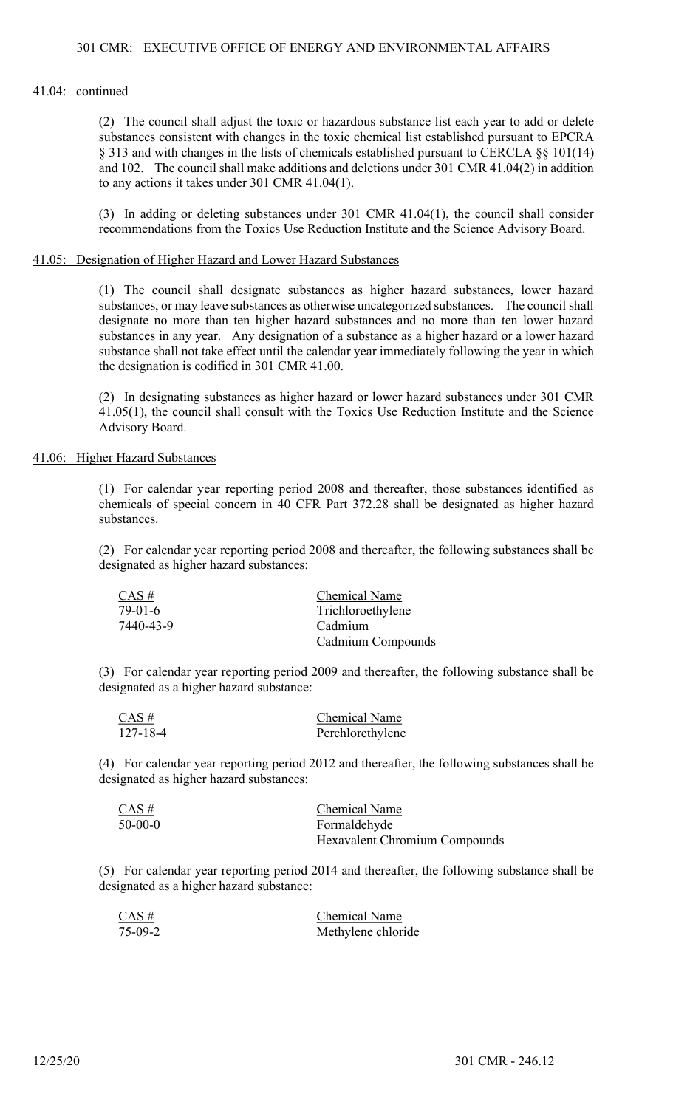(2) The council shall adjust the toxic or hazardous substance list each year to add or delete substances consistent with changes in the toxic chemical list established pursuant to EPCRA § 313 and with changes in the lists of chemicals established pursuant to CERCLA §§ 101(14) and 102. The council shall make additions and deletions under 301 CMR 41.04(2) in addition to any actions it takes under 301 CMR 41.04(1).

(3) In adding or deleting substances under 301 CMR 41.04(1), the council shall consider recommendations from the Toxics Use Reduction Institute and the Science Advisory Board.

### 41.05: Designation of Higher Hazard and Lower Hazard Substances

(1) The council shall designate substances as higher hazard substances, lower hazard substances, or may leave substances as otherwise uncategorized substances. The council shall designate no more than ten higher hazard substances and no more than ten lower hazard substances in any year. Any designation of a substance as a higher hazard or a lower hazard substance shall not take effect until the calendar year immediately following the year in which the designation is codified in 301 CMR 41.00.

(2) In designating substances as higher hazard or lower hazard substances under 301 CMR 41.05(1), the council shall consult with the Toxics Use Reduction Institute and the Science Advisory Board.

## 41.06: Higher Hazard Substances

(1) For calendar year reporting period 2008 and thereafter, those substances identified as chemicals of special concern in 40 CFR Part 372.28 shall be designated as higher hazard substances.

(2) For calendar year reporting period 2008 and thereafter, the following substances shall be designated as higher hazard substances:

| CAS #     | <b>Chemical Name</b> |
|-----------|----------------------|
| 79-01-6   | Trichloroethylene    |
| 7440-43-9 | Cadmium              |
|           | Cadmium Compounds    |

(3) For calendar year reporting period 2009 and thereafter, the following substance shall be designated as a higher hazard substance:

| $CAS \#$       | <b>Chemical Name</b> |
|----------------|----------------------|
| $127 - 18 - 4$ | Perchlorethylene     |

(4) For calendar year reporting period 2012 and thereafter, the following substances shall be designated as higher hazard substances:

| $CAS \#$  | <b>Chemical Name</b>                 |
|-----------|--------------------------------------|
| $50-00-0$ | Formaldehyde                         |
|           | <b>Hexavalent Chromium Compounds</b> |

(5) For calendar year reporting period 2014 and thereafter, the following substance shall be designated as a higher hazard substance:

| $CAS \#$  | <b>Chemical Name</b> |
|-----------|----------------------|
| $75-09-2$ | Methylene chloride   |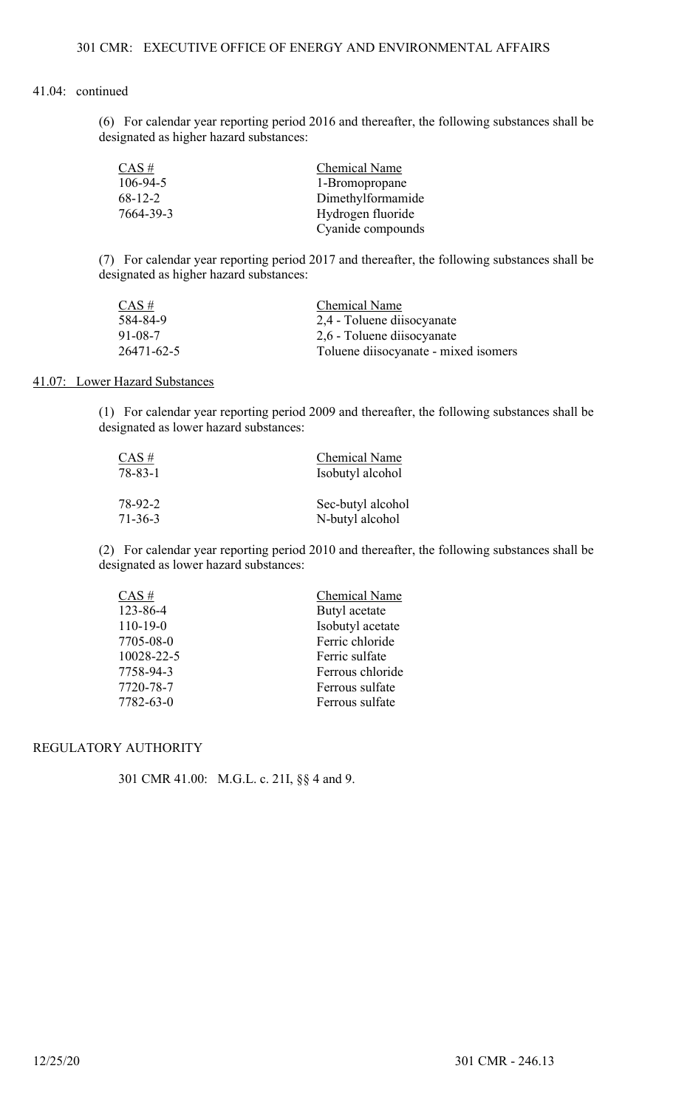(6) For calendar year reporting period 2016 and thereafter, the following substances shall be designated as higher hazard substances:

| $CAS \#$      | Chemical Name     |
|---------------|-------------------|
| 106-94-5      | 1-Bromopropane    |
| $68 - 12 - 2$ | Dimethylformamide |
| 7664-39-3     | Hydrogen fluoride |
|               | Cyanide compounds |

(7) For calendar year reporting period 2017 and thereafter, the following substances shall be designated as higher hazard substances:

| $CAS \#$   | <b>Chemical Name</b>                |
|------------|-------------------------------------|
| 584-84-9   | 2,4 - Toluene diisocyanate          |
| 91-08-7    | 2,6 - Toluene diisocyanate          |
| 26471-62-5 | Toluene disocyanate - mixed isomers |

## 41.07: Lower Hazard Substances

(1) For calendar year reporting period 2009 and thereafter, the following substances shall be designated as lower hazard substances:

| CAS #   | <b>Chemical Name</b> |
|---------|----------------------|
| 78-83-1 | Isobutyl alcohol     |
| 78-92-2 | Sec-butyl alcohol    |
| 71-36-3 | N-butyl alcohol      |

(2) For calendar year reporting period 2010 and thereafter, the following substances shall be designated as lower hazard substances:

| $CAS \#$       | <b>Chemical Name</b> |
|----------------|----------------------|
| 123-86-4       | Butyl acetate        |
| $110 - 19 - 0$ | Isobutyl acetate     |
| 7705-08-0      | Ferric chloride      |
| 10028-22-5     | Ferric sulfate       |
| 7758-94-3      | Ferrous chloride     |
| 7720-78-7      | Ferrous sulfate      |
| 7782-63-0      | Ferrous sulfate      |

# REGULATORY AUTHORITY

301 CMR 41.00: M.G.L. c. 21I, §§ 4 and 9.